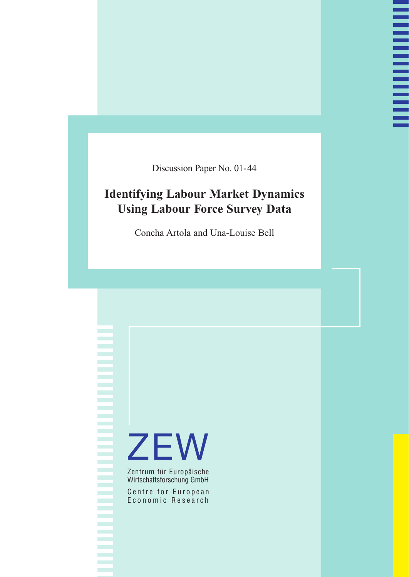Discussion Paper No. 01-44

# **Identifying Labour Market Dynamics Using Labour Force Survey Data**

Concha Artola and Una-Louise Bell

# **ZEW**

Zentrum für Europäische Wirtschaftsforschung GmbH

Centre for European Economic Research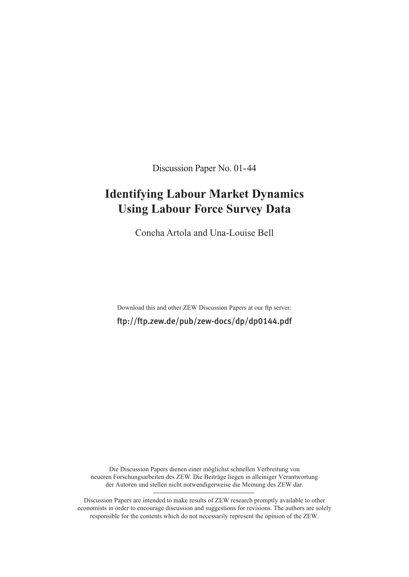Discussion Paper No. 01-44

# **Identifying Labour Market Dynamics Using Labour Force Survey Data**

Concha Artola and Una-Louise Bell

Download this and other ZEW Discussion Papers at our ftp server: ftp://ftp.zew.de/pub/zew-docs/dp/dp0144.pdf

Die Discussion Papers dienen einer möglichst schnellen Verbreitung von neueren Forschungsarbeiten des ZEW. Die Beiträge liegen in alleiniger Verantwortung der Autoren und stellen nicht notwendigerweise die Meinung des ZEW dar.

Discussion Papers are intended to make results of ZEW research promptly available to other economists in order to encourage discussion and suggestions for revisions. The authors are solely responsible for the contents which do not necessarily represent the opinion of the ZEW.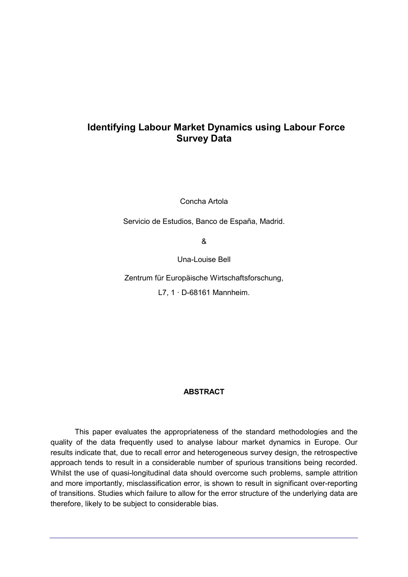# **Identifying Labour Market Dynamics using Labour Force Survey Data**

Concha Artola

Servicio de Estudios, Banco de España, Madrid.

&

Una-Louise Bell

Zentrum für Europäische Wirtschaftsforschung,

L7, 1 · D-68161 Mannheim.

#### **ABSTRACT**

This paper evaluates the appropriateness of the standard methodologies and the quality of the data frequently used to analyse labour market dynamics in Europe. Our results indicate that, due to recall error and heterogeneous survey design, the retrospective approach tends to result in a considerable number of spurious transitions being recorded. Whilst the use of quasi-longitudinal data should overcome such problems, sample attrition and more importantly, misclassification error, is shown to result in significant over-reporting of transitions. Studies which failure to allow for the error structure of the underlying data are therefore, likely to be subject to considerable bias.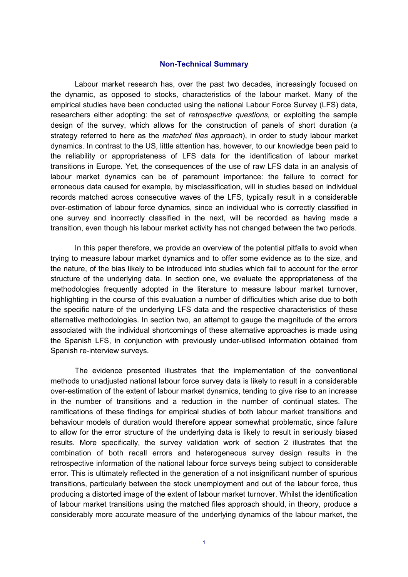#### **Non-Technical Summary**

Labour market research has, over the past two decades, increasingly focused on the dynamic, as opposed to stocks, characteristics of the labour market. Many of the empirical studies have been conducted using the national Labour Force Survey (LFS) data, researchers either adopting: the set of *retrospective questions,* or exploiting the sample design of the survey, which allows for the construction of panels of short duration (a strategy referred to here as the *matched files approach*), in order to study labour market dynamics. In contrast to the US, little attention has, however, to our knowledge been paid to the reliability or appropriateness of LFS data for the identification of labour market transitions in Europe. Yet, the consequences of the use of raw LFS data in an analysis of labour market dynamics can be of paramount importance: the failure to correct for erroneous data caused for example, by misclassification, will in studies based on individual records matched across consecutive waves of the LFS, typically result in a considerable over-estimation of labour force dynamics, since an individual who is correctly classified in one survey and incorrectly classified in the next, will be recorded as having made a transition, even though his labour market activity has not changed between the two periods.

In this paper therefore, we provide an overview of the potential pitfalls to avoid when trying to measure labour market dynamics and to offer some evidence as to the size, and the nature, of the bias likely to be introduced into studies which fail to account for the error structure of the underlying data. In section one, we evaluate the appropriateness of the methodologies frequently adopted in the literature to measure labour market turnover, highlighting in the course of this evaluation a number of difficulties which arise due to both the specific nature of the underlying LFS data and the respective characteristics of these alternative methodologies. In section two, an attempt to gauge the magnitude of the errors associated with the individual shortcomings of these alternative approaches is made using the Spanish LFS, in conjunction with previously under-utilised information obtained from Spanish re-interview surveys.

The evidence presented illustrates that the implementation of the conventional methods to unadjusted national labour force survey data is likely to result in a considerable over-estimation of the extent of labour market dynamics, tending to give rise to an increase in the number of transitions and a reduction in the number of continual states. The ramifications of these findings for empirical studies of both labour market transitions and behaviour models of duration would therefore appear somewhat problematic, since failure to allow for the error structure of the underlying data is likely to result in seriously biased results. More specifically, the survey validation work of section 2 illustrates that the combination of both recall errors and heterogeneous survey design results in the retrospective information of the national labour force surveys being subject to considerable error. This is ultimately reflected in the generation of a not insignificant number of spurious transitions, particularly between the stock unemployment and out of the labour force, thus producing a distorted image of the extent of labour market turnover. Whilst the identification of labour market transitions using the matched files approach should, in theory, produce a considerably more accurate measure of the underlying dynamics of the labour market, the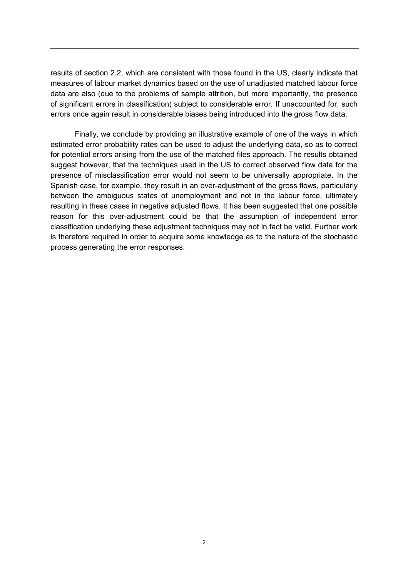results of section 2.2, which are consistent with those found in the US, clearly indicate that measures of labour market dynamics based on the use of unadjusted matched labour force data are also (due to the problems of sample attrition, but more importantly, the presence of significant errors in classification) subject to considerable error. If unaccounted for, such errors once again result in considerable biases being introduced into the gross flow data.

Finally, we conclude by providing an illustrative example of one of the ways in which estimated error probability rates can be used to adjust the underlying data, so as to correct for potential errors arising from the use of the matched files approach. The results obtained suggest however, that the techniques used in the US to correct observed flow data for the presence of misclassification error would not seem to be universally appropriate. In the Spanish case, for example, they result in an over-adjustment of the gross flows, particularly between the ambiguous states of unemployment and not in the labour force, ultimately resulting in these cases in negative adjusted flows. It has been suggested that one possible reason for this over-adjustment could be that the assumption of independent error classification underlying these adjustment techniques may not in fact be valid. Further work is therefore required in order to acquire some knowledge as to the nature of the stochastic process generating the error responses.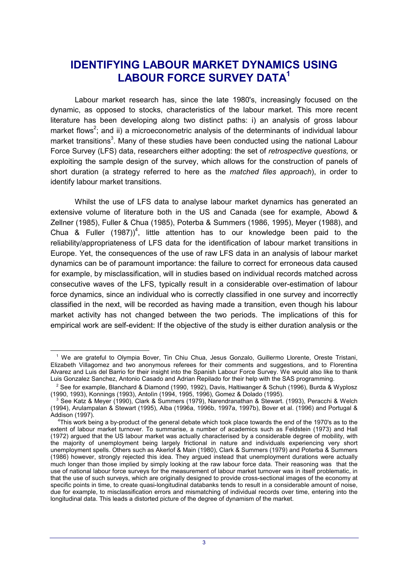# **IDENTIFYING LABOUR MARKET DYNAMICS USING LABOUR FORCE SURVEY DATA1**

Labour market research has, since the late 1980's, increasingly focused on the dynamic, as opposed to stocks, characteristics of the labour market. This more recent literature has been developing along two distinct paths: i) an analysis of gross labour market flows<sup>2</sup>; and ii) a microeconometric analysis of the determinants of individual labour market transitions<sup>3</sup>. Many of these studies have been conducted using the national Labour Force Survey (LFS) data, researchers either adopting: the set of *retrospective questions,* or exploiting the sample design of the survey, which allows for the construction of panels of short duration (a strategy referred to here as the *matched files approach*), in order to identify labour market transitions.

Whilst the use of LFS data to analyse labour market dynamics has generated an extensive volume of literature both in the US and Canada (see for example, Abowd & Zellner (1985), Fuller & Chua (1985), Poterba & Summers (1986, 1995), Meyer (1988), and Chua & Fuller  $(1987)^4$ , little attention has to our knowledge been paid to the reliability/appropriateness of LFS data for the identification of labour market transitions in Europe. Yet, the consequences of the use of raw LFS data in an analysis of labour market dynamics can be of paramount importance: the failure to correct for erroneous data caused for example, by misclassification, will in studies based on individual records matched across consecutive waves of the LFS, typically result in a considerable over-estimation of labour force dynamics, since an individual who is correctly classified in one survey and incorrectly classified in the next, will be recorded as having made a transition, even though his labour market activity has not changed between the two periods. The implications of this for empirical work are self-evident: If the objective of the study is either duration analysis or the

 $\overline{a}$ 

<sup>&</sup>lt;sup>1</sup> We are grateful to Olympia Bover, Tin Chiu Chua, Jesus Gonzalo, Guillermo Llorente, Oreste Tristani, Elizabeth Villagomez and two anonymous referees for their comments and suggestions, and to Florentina Alvarez and Luis del Barrio for their insight into the Spanish Labour Force Survey. We would also like to thank Luis Gonzalez Sanchez, Antonio Casado and Adrian Repilado for their help with the SAS programming.

 $^2$  See for example, Blanchard & Diamond (1990, 1992), Davis, Haltiwanger & Schuh (1996), Burda & Wyplosz (1990, 1993), Konnings (1993), Antolìn (1994, 1995, 1996), Gomez & Dolado (1995).

<sup>3</sup> See Katz & Meyer (1990), Clark & Summers (1979), Narendranathan & Stewart. (1993), Peracchi & Welch (1994), Arulampalan & Stewart (1995), Alba (1996a, 1996b, 1997a, 1997b), Bover et al. (1996) and Portugal & Addison (1997).

<sup>4</sup> This work being a by-product of the general debate which took place towards the end of the 1970's as to the extent of labour market turnover. To summarise, a number of academics such as Feldstein (1973) and Hall (1972) argued that the US labour market was actually characterised by a considerable degree of mobility, with the majority of unemployment being largely frictional in nature and individuals experiencing very short unemployment spells. Others such as Akerlof & Main (1980), Clark & Summers (1979) and Poterba & Summers (1986) however, strongly rejected this idea. They argued instead that unemployment durations were actually much longer than those implied by simply looking at the raw labour force data. Their reasoning was that the use of national labour force surveys for the measurement of labour market turnover was in itself problematic, in that the use of such surveys, which are originally designed to provide cross-sectional images of the economy at specific points in time, to create quasi-longitudinal databanks tends to result in a considerable amount of noise, due for example, to misclassification errors and mismatching of individual records over time, entering into the longitudinal data. This leads a distorted picture of the degree of dynamism of the market.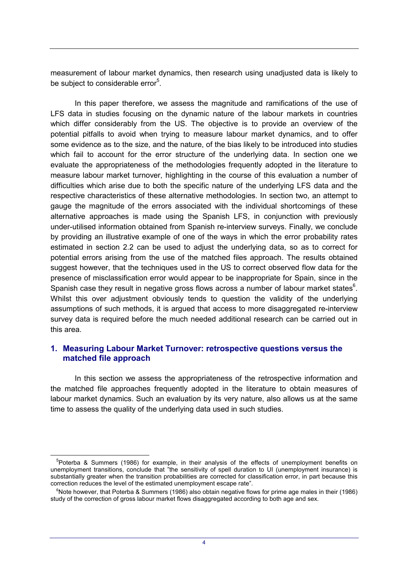measurement of labour market dynamics, then research using unadjusted data is likely to be subject to considerable error<sup>5</sup>.

In this paper therefore, we assess the magnitude and ramifications of the use of LFS data in studies focusing on the dynamic nature of the labour markets in countries which differ considerably from the US. The objective is to provide an overview of the potential pitfalls to avoid when trying to measure labour market dynamics, and to offer some evidence as to the size, and the nature, of the bias likely to be introduced into studies which fail to account for the error structure of the underlying data. In section one we evaluate the appropriateness of the methodologies frequently adopted in the literature to measure labour market turnover, highlighting in the course of this evaluation a number of difficulties which arise due to both the specific nature of the underlying LFS data and the respective characteristics of these alternative methodologies. In section two, an attempt to gauge the magnitude of the errors associated with the individual shortcomings of these alternative approaches is made using the Spanish LFS, in conjunction with previously under-utilised information obtained from Spanish re-interview surveys. Finally, we conclude by providing an illustrative example of one of the ways in which the error probability rates estimated in section 2.2 can be used to adjust the underlying data, so as to correct for potential errors arising from the use of the matched files approach. The results obtained suggest however, that the techniques used in the US to correct observed flow data for the presence of misclassification error would appear to be inappropriate for Spain, since in the Spanish case they result in negative gross flows across a number of labour market states $^6$ . Whilst this over adjustment obviously tends to question the validity of the underlying assumptions of such methods, it is argued that access to more disaggregated re-interview survey data is required before the much needed additional research can be carried out in this area.

## **1. Measuring Labour Market Turnover: retrospective questions versus the matched file approach**

In this section we assess the appropriateness of the retrospective information and the matched file approaches frequently adopted in the literature to obtain measures of labour market dynamics. Such an evaluation by its very nature, also allows us at the same time to assess the quality of the underlying data used in such studies.

 <sup>5</sup> Poterba & Summers (1986) for example, in their analysis of the effects of unemployment benefits on unemployment transitions, conclude that "the sensitivity of spell duration to UI (unemployment insurance) is substantially greater when the transition probabilities are corrected for classification error, in part because this correction reduces the level of the estimated unemployment escape rate".

<sup>&</sup>lt;sup>6</sup>Note however, that Poterba & Summers (1986) also obtain negative flows for prime age males in their (1986) study of the correction of gross labour market flows disaggregated according to both age and sex.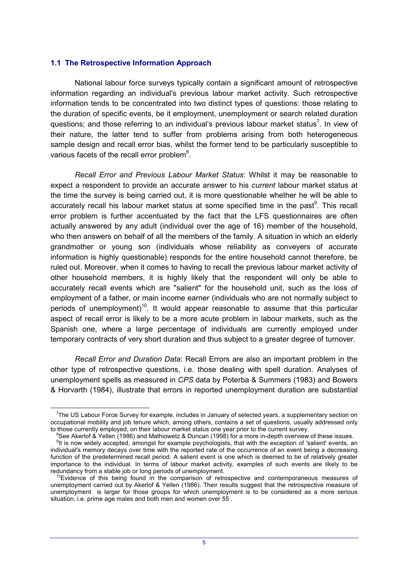#### **1.1 The Retrospective Information Approach**

 $\overline{a}$ 

National labour force surveys typically contain a significant amount of retrospective information regarding an individual's previous labour market activity. Such retrospective information tends to be concentrated into two distinct types of questions: those relating to the duration of specific events, be it employment, unemployment or search related duration questions; and those referring to an individual's previous labour market status<sup>7</sup>. In view of their nature, the latter tend to suffer from problems arising from both heterogeneous sample design and recall error bias, whilst the former tend to be particularly susceptible to various facets of the recall error problem $8$ .

*Recall Error and Previous Labour Market Status*: Whilst it may be reasonable to expect a respondent to provide an accurate answer to his *current* labour market status at the time the survey is being carried out, it is more questionable whether he will be able to accurately recall his labour market status at some specified time in the past<sup>9</sup>. This recall error problem is further accentuated by the fact that the LFS questionnaires are often actually answered by any adult (individual over the age of 16) member of the household, who then answers on behalf of all the members of the family. A situation in which an elderly grandmother or young son (individuals whose reliability as conveyers of accurate information is highly questionable) responds for the entire household cannot therefore, be ruled out. Moreover, when it comes to having to recall the previous labour market activity of other household members, it is highly likely that the respondent will only be able to accurately recall events which are "salient" for the household unit, such as the loss of employment of a father, or main income earner (individuals who are not normally subject to periods of unemployment)<sup>10</sup>. It would appear reasonable to assume that this particular aspect of recall error is likely to be a more acute problem in labour markets, such as the Spanish one, where a large percentage of individuals are currently employed under temporary contracts of very short duration and thus subject to a greater degree of turnover.

*Recall Error and Duration Data*: Recall Errors are also an important problem in the other type of retrospective questions, i.e. those dealing with spell duration. Analyses of unemployment spells as measured in *CPS* data by Poterba & Summers (1983) and Bowers & Horvarth (1984), illustrate that errors in reported unemployment duration are substantial

<sup>7</sup> The US Labour Force Survey for example, includes in January of selected years, a supplementary section on occupational mobility and job tenure which, among others, contains a set of questions, usually addressed only to those currently employed, on their labour market status one year prior to the current survey.

<sup>8</sup> See Akerlof & Yellen (1986) and Mathiowetz & Duncan (1998) for a more in-depth overview of these issues.

<sup>&</sup>lt;sup>9</sup>It is now widely accepted, amongst for example psychologists, that with the exception of 'salient' events, an individual's memory decays over time with the reported rate of the occurrence of an event being a decreasing function of the predetermined recall period. A salient event is one which is deemed to be of relatively greater importance to the individual. In terms of labour market activity, examples of such events are likely to be redundancy from a stable job or long periods of unemployment.

 $0$ Evidence of this being found in the comparison of retrospective and contemporaneous measures of unemployment carried out by Akerlof & Yellen (1986). Their results suggest that the retrospective measure of unemployment is larger for those groups for which unemployment is to be considered as a more serious situation, i.e. prime age males and both men and women over 55.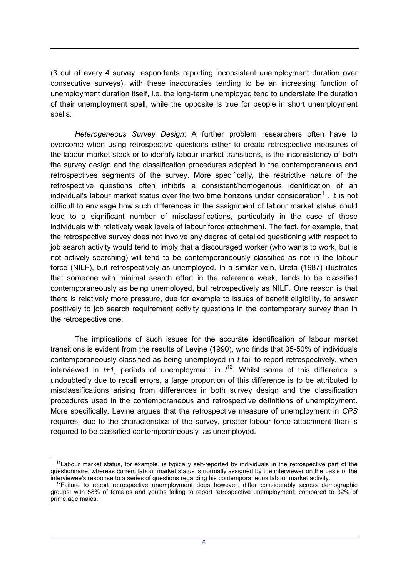(3 out of every 4 survey respondents reporting inconsistent unemployment duration over consecutive surveys), with these inaccuracies tending to be an increasing function of unemployment duration itself, i.e. the long-term unemployed tend to understate the duration of their unemployment spell, while the opposite is true for people in short unemployment spells.

*Heterogeneous Survey Design*: A further problem researchers often have to overcome when using retrospective questions either to create retrospective measures of the labour market stock or to identify labour market transitions, is the inconsistency of both the survey design and the classification procedures adopted in the contemporaneous and retrospectives segments of the survey. More specifically, the restrictive nature of the retrospective questions often inhibits a consistent/homogenous identification of an individual's labour market status over the two time horizons under consideration $<sup>11</sup>$ . It is not</sup> difficult to envisage how such differences in the assignment of labour market status could lead to a significant number of misclassifications, particularly in the case of those individuals with relatively weak levels of labour force attachment. The fact, for example, that the retrospective survey does not involve any degree of detailed questioning with respect to job search activity would tend to imply that a discouraged worker (who wants to work, but is not actively searching) will tend to be contemporaneously classified as not in the labour force (NILF), but retrospectively as unemployed. In a similar vein, Ureta (1987) illustrates that someone with minimal search effort in the reference week, tends to be classified contemporaneously as being unemployed, but retrospectively as NILF. One reason is that there is relatively more pressure, due for example to issues of benefit eligibility, to answer positively to job search requirement activity questions in the contemporary survey than in the retrospective one.

The implications of such issues for the accurate identification of labour market transitions is evident from the results of Levine (1990), who finds that 35-50% of individuals contemporaneously classified as being unemployed in *t* fail to report retrospectively, when interviewed in  $t+1$ , periods of unemployment in  $t^{12}$ . Whilst some of this difference is undoubtedly due to recall errors, a large proportion of this difference is to be attributed to misclassifications arising from differences in both survey design and the classification procedures used in the contemporaneous and retrospective definitions of unemployment. More specifically, Levine argues that the retrospective measure of unemployment in *CPS* requires, due to the characteristics of the survey, greater labour force attachment than is required to be classified contemporaneously as unemployed*.*

l

 $11$ Labour market status, for example, is typically self-reported by individuals in the retrospective part of the questionnaire, whereas current labour market status is normally assigned by the interviewer on the basis of the interviewee's response to a series of questions regarding his contemporaneous labour market activity.

 $12$ Failure to report retrospective unemployment does however, differ considerably across demographic groups: with 58% of females and youths failing to report retrospective unemployment, compared to 32% of prime age males.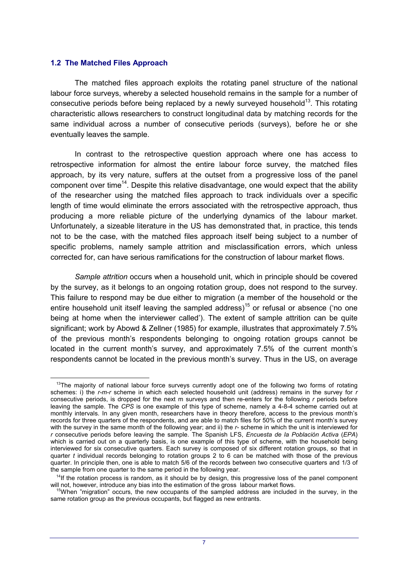#### **1.2 The Matched Files Approach**

 $\overline{a}$ 

The matched files approach exploits the rotating panel structure of the national labour force surveys, whereby a selected household remains in the sample for a number of consecutive periods before being replaced by a newly surveyed household<sup>13</sup>. This rotating characteristic allows researchers to construct longitudinal data by matching records for the same individual across a number of consecutive periods (surveys), before he or she eventually leaves the sample.

In contrast to the retrospective question approach where one has access to retrospective information for almost the entire labour force survey, the matched files approach, by its very nature, suffers at the outset from a progressive loss of the panel component over time<sup>14</sup>. Despite this relative disadvantage, one would expect that the ability of the researcher using the matched files approach to track individuals over a specific length of time would eliminate the errors associated with the retrospective approach, thus producing a more reliable picture of the underlying dynamics of the labour market. Unfortunately, a sizeable literature in the US has demonstrated that, in practice, this tends not to be the case, with the matched files approach itself being subject to a number of specific problems, namely sample attrition and misclassification errors, which unless corrected for, can have serious ramifications for the construction of labour market flows.

*Sample attrition* occurs when a household unit, which in principle should be covered by the survey, as it belongs to an ongoing rotation group, does not respond to the survey. This failure to respond may be due either to migration (a member of the household or the entire household unit itself leaving the sampled address)<sup>15</sup> or refusal or absence ('no one being at home when the interviewer called'). The extent of sample attrition can be quite significant; work by Abowd & Zellner (1985) for example, illustrates that approximately 7.5% of the previous month's respondents belonging to ongoing rotation groups cannot be located in the current month's survey, and approximately 7.5% of the current month's respondents cannot be located in the previous month's survey. Thus in the US, on average

 $13$ The majority of national labour force surveys currently adopt one of the following two forms of rotating schemes: i) the *r-m-r* scheme in which each selected household unit (address) remains in the survey for *r* consecutive periods, is dropped for the next m surveys and then re-enters for the following *r* periods before leaving the sample. The *CPS* is one example of this type of scheme, namely a 4-8-4 scheme carried out at monthly intervals. In any given month, researchers have in theory therefore, access to the previous month's records for three quarters of the respondents, and are able to match files for 50% of the current month's survey with the survey in the same month of the following year; and ii) the *r-* scheme in which the unit is interviewed for *r* consecutive periods before leaving the sample. The Spanish LFS, *Encuesta de la Población Activa* (*EPA*) which is carried out on a quarterly basis, is one example of this type of scheme, with the household being interviewed for six consecutive quarters. Each survey is composed of six different rotation groups, so that in quarter *t* individual records belonging to rotation groups 2 to 6 can be matched with those of the previous quarter. In principle then, one is able to match 5/6 of the records between two consecutive quarters and 1/3 of the sample from one quarter to the same period in the following year.

 $14$ If the rotation process is random, as it should be by design, this progressive loss of the panel component will not, however, introduce any bias into the estimation of the gross labour market flows.

 $15$ When "migration" occurs, the new occupants of the sampled address are included in the survey, in the same rotation group as the previous occupants, but flagged as new entrants.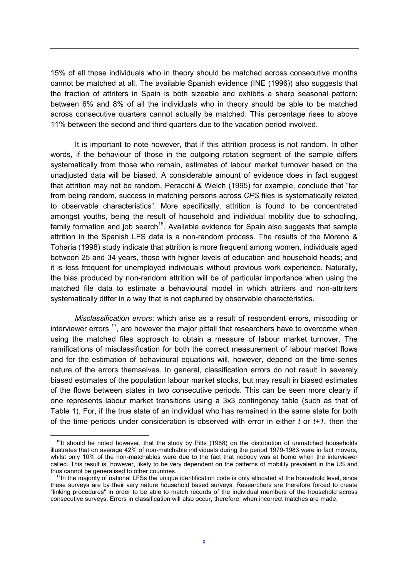15% of all those individuals who in theory should be matched across consecutive months cannot be matched at all. The available Spanish evidence (INE (1996)) also suggests that the fraction of attriters in Spain is both sizeable and exhibits a sharp seasonal pattern: between 6% and 8% of all the individuals who in theory should be able to be matched across consecutive quarters cannot actually be matched. This percentage rises to above 11% between the second and third quarters due to the vacation period involved.

It is important to note however, that if this attrition process is not random. In other words, if the behaviour of those in the outgoing rotation segment of the sample differs systematically from those who remain, estimates of labour market turnover based on the unadjusted data will be biased. A considerable amount of evidence does in fact suggest that attrition may not be random. Peracchi & Welch (1995) for example, conclude that "far from being random, success in matching persons across *CPS* files is systematically related to observable characteristics". More specifically, attrition is found to be concentrated amongst youths, being the result of household and individual mobility due to schooling, family formation and job search<sup>16</sup>. Available evidence for Spain also suggests that sample attrition in the Spanish LFS data is a non-random process. The results of the Moreno & Toharia (1998) study indicate that attrition is more frequent among women, individuals aged between 25 and 34 years, those with higher levels of education and household heads; and it is less frequent for unemployed individuals without previous work experience. Naturally, the bias produced by non-random attrition will be of particular importance when using the matched file data to estimate a behavioural model in which attriters and non-attriters systematically differ in a way that is not captured by observable characteristics.

*Misclassification errors*: which arise as a result of respondent errors, miscoding or interviewer errors  $17$ , are however the major pitfall that researchers have to overcome when using the matched files approach to obtain a measure of labour market turnover. The ramifications of misclassification for both the correct measurement of labour market flows and for the estimation of behavioural equations will, however, depend on the time-series nature of the errors themselves. In general, classification errors do not result in severely biased estimates of the population labour market stocks, but may result in biased estimates of the flows between states in two consecutive periods. This can be seen more clearly if one represents labour market transitions using a 3x3 contingency table (such as that of Table 1). For, if the true state of an individual who has remained in the same state for both of the time periods under consideration is observed with error in either *t* or *t+1*, then the

 $\overline{a}$ 

 $16$ It should be noted however, that the study by Pitts (1988) on the distribution of unmatched households illustrates that on average 42% of non-matchable individuals during the period 1979-1983 were in fact movers, whilst only 10% of the non-matchables were due to the fact that nobody was at home when the interviewer called. This result is, however, likely to be very dependent on the patterns of mobility prevalent in the US and thus cannot be generalised to other countries.

<sup>&</sup>lt;sup>7</sup>In the majority of national LFSs the unique identification code is only allocated at the household level, since these surveys are by their very nature household based surveys. Researchers are therefore forced to create "linking procedures" in order to be able to match records of the individual members of the household across consecutive surveys. Errors in classification will also occur, therefore, when incorrect matches are made.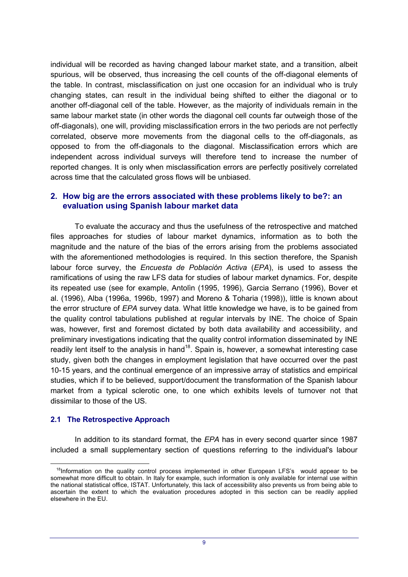individual will be recorded as having changed labour market state, and a transition, albeit spurious, will be observed, thus increasing the cell counts of the off-diagonal elements of the table. In contrast, misclassification on just one occasion for an individual who is truly changing states, can result in the individual being shifted to either the diagonal or to another off-diagonal cell of the table. However, as the majority of individuals remain in the same labour market state (in other words the diagonal cell counts far outweigh those of the off-diagonals), one will, providing misclassification errors in the two periods are not perfectly correlated, observe more movements from the diagonal cells to the off-diagonals, as opposed to from the off-diagonals to the diagonal. Misclassification errors which are independent across individual surveys will therefore tend to increase the number of reported changes. It is only when misclassification errors are perfectly positively correlated across time that the calculated gross flows will be unbiased.

## **2. How big are the errors associated with these problems likely to be?: an evaluation using Spanish labour market data**

To evaluate the accuracy and thus the usefulness of the retrospective and matched files approaches for studies of labour market dynamics, information as to both the magnitude and the nature of the bias of the errors arising from the problems associated with the aforementioned methodologies is required. In this section therefore, the Spanish labour force survey, the *Encuesta de Población Activa* (*EPA*), is used to assess the ramifications of using the raw LFS data for studies of labour market dynamics. For, despite its repeated use (see for example, Antolìn (1995, 1996), Garcia Serrano (1996), Bover et al. (1996), Alba (1996a, 1996b, 1997) and Moreno & Toharia (1998)), little is known about the error structure of *EPA* survey data. What little knowledge we have, is to be gained from the quality control tabulations published at regular intervals by INE. The choice of Spain was, however, first and foremost dictated by both data availability and accessibility, and preliminary investigations indicating that the quality control information disseminated by INE readily lent itself to the analysis in hand<sup>18</sup>. Spain is, however, a somewhat interesting case study, given both the changes in employment legislation that have occurred over the past 10-15 years, and the continual emergence of an impressive array of statistics and empirical studies, which if to be believed, support/document the transformation of the Spanish labour market from a typical sclerotic one, to one which exhibits levels of turnover not that dissimilar to those of the US.

## **2.1 The Retrospective Approach**

l

In addition to its standard format, the *EPA* has in every second quarter since 1987 included a small supplementary section of questions referring to the individual's labour

<sup>&</sup>lt;sup>18</sup>Information on the quality control process implemented in other European LFS's would appear to be somewhat more difficult to obtain. In Italy for example, such information is only available for internal use within the national statistical office, ISTAT. Unfortunately, this lack of accessibility also prevents us from being able to ascertain the extent to which the evaluation procedures adopted in this section can be readily applied elsewhere in the EU.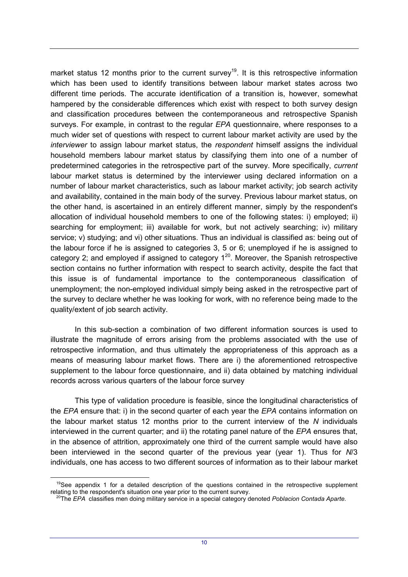market status 12 months prior to the current survey<sup>19</sup>. It is this retrospective information which has been used to identify transitions between labour market states across two different time periods. The accurate identification of a transition is, however, somewhat hampered by the considerable differences which exist with respect to both survey design and classification procedures between the contemporaneous and retrospective Spanish surveys. For example, in contrast to the regular *EPA* questionnaire, where responses to a much wider set of questions with respect to current labour market activity are used by the *interviewer* to assign labour market status, the *respondent* himself assigns the individual household members labour market status by classifying them into one of a number of predetermined categories in the retrospective part of the survey. More specifically, *current* labour market status is determined by the interviewer using declared information on a number of labour market characteristics, such as labour market activity; job search activity and availability, contained in the main body of the survey. Previous labour market status, on the other hand, is ascertained in an entirely different manner, simply by the respondent's allocation of individual household members to one of the following states: i) employed; ii) searching for employment; iii) available for work, but not actively searching; iv) military service; v) studying; and vi) other situations. Thus an individual is classified as: being out of the labour force if he is assigned to categories 3, 5 or 6; unemployed if he is assigned to category 2; and employed if assigned to category  $1^{20}$ . Moreover, the Spanish retrospective section contains no further information with respect to search activity, despite the fact that this issue is of fundamental importance to the contemporaneous classification of unemployment; the non-employed individual simply being asked in the retrospective part of the survey to declare whether he was looking for work, with no reference being made to the quality/extent of job search activity.

In this sub-section a combination of two different information sources is used to illustrate the magnitude of errors arising from the problems associated with the use of retrospective information, and thus ultimately the appropriateness of this approach as a means of measuring labour market flows. There are i) the aforementioned retrospective supplement to the labour force questionnaire, and ii) data obtained by matching individual records across various quarters of the labour force survey

This type of validation procedure is feasible, since the longitudinal characteristics of the *EPA* ensure that: i) in the second quarter of each year the *EPA* contains information on the labour market status 12 months prior to the current interview of the *N* individuals interviewed in the current quarter; and ii) the rotating panel nature of the *EPA* ensures that, in the absence of attrition, approximately one third of the current sample would have also been interviewed in the second quarter of the previous year (year 1). Thus for *N*/3 individuals, one has access to two different sources of information as to their labour market

l

 $19$ See appendix 1 for a detailed description of the questions contained in the retrospective supplement relating to the respondent's situation one year prior to the current survey.

<sup>20</sup>The *EPA* classifies men doing military service in a special category denoted *Poblacion Contada Aparte.*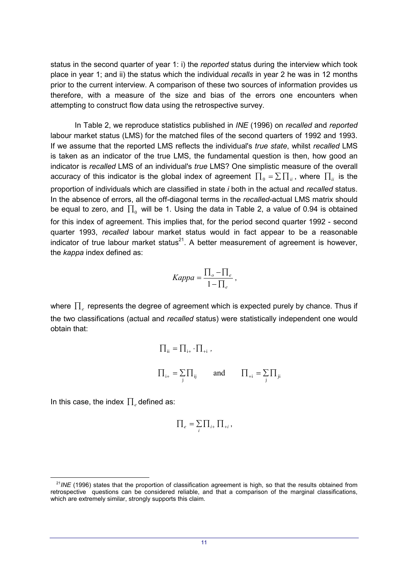status in the second quarter of year 1: i) the *reported* status during the interview which took place in year 1; and ii) the status which the individual *recalls* in year 2 he was in 12 months prior to the current interview. A comparison of these two sources of information provides us therefore, with a measure of the size and bias of the errors one encounters when attempting to construct flow data using the retrospective survey.

In Table 2, we reproduce statistics published in *INE* (1996) on *recalled* and *reported* labour market status (LMS) for the matched files of the second quarters of 1992 and 1993. If we assume that the reported LMS reflects the individual's *true state*, whilst *recalled* LMS is taken as an indicator of the true LMS, the fundamental question is then, how good an indicator is *recalled* LMS of an individual's *true* LMS? One simplistic measure of the overall accuracy of this indicator is the global index of agreement  $\prod_{\mathfrak{g}}=\Sigma\prod_{ii}$  , where  $\prod_{ii}$  is the proportion of individuals which are classified in state *i* both in the actual and *recalled* status. In the absence of errors, all the off-diagonal terms in the *recalled*-actual LMS matrix should be equal to zero, and  $\prod_0$  will be 1. Using the data in Table 2, a value of 0.94 is obtained for this index of agreement. This implies that, for the period second quarter 1992 - second quarter 1993, *recalled* labour market status would in fact appear to be a reasonable indicator of true labour market status<sup>21</sup>. A better measurement of agreement is however, the *kappa* index defined as:

$$
Kappa = \frac{\prod_{o} - \prod_{e}}{1 - \prod_{e}}
$$

where  $\prod$  represents the degree of agreement which is expected purely by chance. Thus if the two classifications (actual and *recalled* status) were statistically independent one would obtain that:

$$
\Pi_{ii} = \Pi_{i+} \cdot \Pi_{+i} ,
$$
  

$$
\Pi_{i+} = \sum_{j} \Pi_{ij} \quad \text{and} \quad \Pi_{+i} = \sum_{j} \Pi_{ji}
$$

In this case, the index  $\prod_{e}$  defined as:

l

$$
\prod_e = \sum_i \prod_{i+1} \prod_{+i},
$$

<sup>&</sup>lt;sup>21</sup>INE (1996) states that the proportion of classification agreement is high, so that the results obtained from retrospective questions can be considered reliable, and that a comparison of the marginal classifications, which are extremely similar, strongly supports this claim.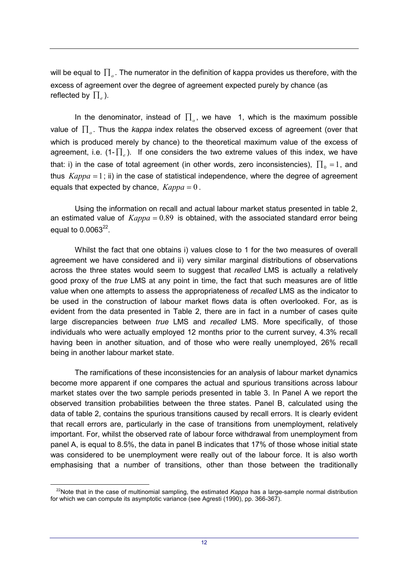will be equal to  $\prod_{\alpha}$ . The numerator in the definition of kappa provides us therefore, with the excess of agreement over the degree of agreement expected purely by chance (as reflected by  $\prod_e$ ).

In the denominator, instead of  $\prod_{\alpha}$ , we have 1, which is the maximum possible value of  $\prod_{\alpha}$ . Thus the *kappa* index relates the observed excess of agreement (over that which is produced merely by chance) to the theoretical maximum value of the excess of agreement, i.e.  $(1-\prod_{\ell} )$ . If one considers the two extreme values of this index, we have that: i) in the case of total agreement (in other words, zero inconsistencies),  $\prod_{\mathfrak{0}} = 1$ , and thus  $Kappa = 1$ ; ii) in the case of statistical independence, where the degree of agreement equals that expected by chance,  $Kappa = 0$ .

Using the information on recall and actual labour market status presented in table 2, an estimated value of  $Kappa = 0.89$  is obtained, with the associated standard error being equal to  $0.0063^{22}$ .

Whilst the fact that one obtains i) values close to 1 for the two measures of overall agreement we have considered and ii) very similar marginal distributions of observations across the three states would seem to suggest that *recalled* LMS is actually a relatively good proxy of the *true* LMS at any point in time, the fact that such measures are of little value when one attempts to assess the appropriateness of *recalled* LMS as the indicator to be used in the construction of labour market flows data is often overlooked. For, as is evident from the data presented in Table 2, there are in fact in a number of cases quite large discrepancies between *true* LMS and *recalled* LMS. More specifically, of those individuals who were actually employed 12 months prior to the current survey, 4.3% recall having been in another situation, and of those who were really unemployed, 26% recall being in another labour market state.

The ramifications of these inconsistencies for an analysis of labour market dynamics become more apparent if one compares the actual and spurious transitions across labour market states over the two sample periods presented in table 3. In Panel A we report the observed transition probabilities between the three states. Panel B, calculated using the data of table 2, contains the spurious transitions caused by recall errors. It is clearly evident that recall errors are, particularly in the case of transitions from unemployment, relatively important. For, whilst the observed rate of labour force withdrawal from unemployment from panel A, is equal to 8.5%, the data in panel B indicates that 17% of those whose initial state was considered to be unemployment were really out of the labour force. It is also worth emphasising that a number of transitions, other than those between the traditionally

 $\overline{a}$ 

<sup>22</sup>Note that in the case of multinomial sampling, the estimated *Kappa* has a large-sample normal distribution for which we can compute its asymptotic variance (see Agresti (1990), pp. 366-367).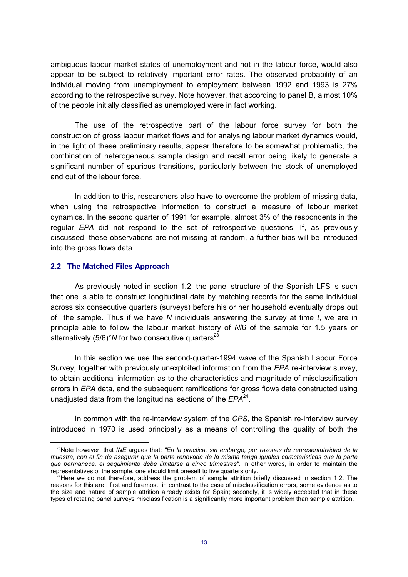ambiguous labour market states of unemployment and not in the labour force, would also appear to be subject to relatively important error rates. The observed probability of an individual moving from unemployment to employment between 1992 and 1993 is 27% according to the retrospective survey. Note however, that according to panel B, almost 10% of the people initially classified as unemployed were in fact working.

The use of the retrospective part of the labour force survey for both the construction of gross labour market flows and for analysing labour market dynamics would, in the light of these preliminary results, appear therefore to be somewhat problematic, the combination of heterogeneous sample design and recall error being likely to generate a significant number of spurious transitions, particularly between the stock of unemployed and out of the labour force.

In addition to this, researchers also have to overcome the problem of missing data, when using the retrospective information to construct a measure of labour market dynamics. In the second quarter of 1991 for example, almost 3% of the respondents in the regular *EPA* did not respond to the set of retrospective questions. If, as previously discussed, these observations are not missing at random, a further bias will be introduced into the gross flows data.

## **2.2 The Matched Files Approach**

 $\overline{a}$ 

As previously noted in section 1.2, the panel structure of the Spanish LFS is such that one is able to construct longitudinal data by matching records for the same individual across six consecutive quarters (surveys) before his or her household eventually drops out of the sample. Thus if we have *N* individuals answering the survey at time *t*, we are in principle able to follow the labour market history of *N*/6 of the sample for 1.5 years or alternatively  $(5/6)^*N$  for two consecutive quarters<sup>23</sup>.

In this section we use the second-quarter-1994 wave of the Spanish Labour Force Survey, together with previously unexploited information from the *EPA* re-interview survey, to obtain additional information as to the characteristics and magnitude of misclassification errors in *EPA* data, and the subsequent ramifications for gross flows data constructed using unadjusted data from the longitudinal sections of the *EPA*<sup>24</sup>.

In common with the re-interview system of the *CPS*, the Spanish re-interview survey introduced in 1970 is used principally as a means of controlling the quality of both the

<sup>23</sup>Note however, that *INE* argues that: *"En la practica, sin embargo, por razones de representatividad de la muestra, con el fin de asegurar que la parte renovada de la misma tenga iguales caracteristicas que la parte que permanece, el seguimiento debe limitarse a cinco trimestres".* In other words, in order to maintain the representatives of the sample, one should limit oneself to five quarters only.

<sup>&</sup>lt;sup>24</sup>Here we do not therefore, address the problem of sample attrition briefly discussed in section 1.2. The reasons for this are : first and foremost, in contrast to the case of misclassification errors, some evidence as to the size and nature of sample attrition already exists for Spain; secondly, it is widely accepted that in these types of rotating panel surveys misclassification is a significantly more important problem than sample attrition.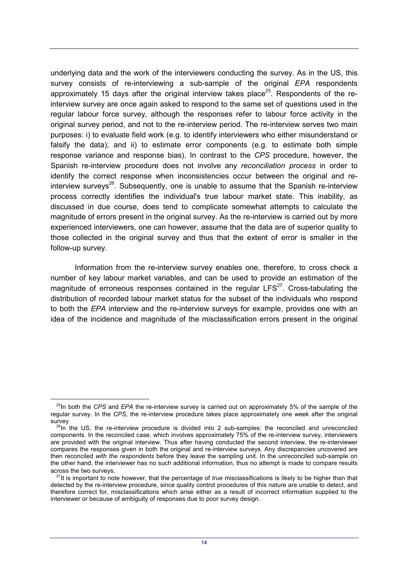underlying data and the work of the interviewers conducting the survey. As in the US, this survey consists of re-interviewing a sub-sample of the original *EPA* respondents approximately 15 days after the original interview takes place<sup>25</sup>. Respondents of the reinterview survey are once again asked to respond to the same set of questions used in the regular labour force survey, although the responses refer to labour force activity in the original survey period, and not to the re-interview period. The re-interview serves two main purposes: i) to evaluate field work (e.g. to identify interviewers who either misunderstand or falsify the data); and ii) to estimate error components (e.g. to estimate both simple response variance and response bias). In contrast to the *CPS* procedure, however, the Spanish re-interview procedure does not involve any *reconciliation process* in order to identify the correct response when inconsistencies occur between the original and reinterview surveys<sup>26</sup>. Subsequently, one is unable to assume that the Spanish re-interview process correctly identifies the individual's true labour market state. This inability, as discussed in due course, does tend to complicate somewhat attempts to calculate the magnitude of errors present in the original survey. As the re-interview is carried out by more experienced interviewers, one can however, assume that the data are of superior quality to those collected in the original survey and thus that the extent of error is smaller in the follow-up survey.

Information from the re-interview survey enables one, therefore, to cross check a number of key labour market variables, and can be used to provide an estimation of the magnitude of erroneous responses contained in the regular  $LFS^{27}$ . Cross-tabulating the distribution of recorded labour market status for the subset of the individuals who respond to both the *EPA* interview and the re-interview surveys for example, provides one with an idea of the incidence and magnitude of the misclassification errors present in the original

l

<sup>25</sup>In both the *CPS* and *EPA* the re-interview survey is carried out on approximately 5% of the sample of the regular survey. In the *CPS*, the re-interview procedure takes place approximately one week after the original survey

 $^{26}$ In the US, the re-interview procedure is divided into 2 sub-samples: the reconciled and unreconciled components. In the reconciled case, which involves approximately 75% of the re-interview survey, interviewers are provided with the original interview. Thus after having conducted the second interview, the re-interviewer compares the responses given in both the original and re-interview surveys. Any discrepancies uncovered are then reconciled *with the respondents* before they leave the sampling unit. In the unreconciled sub-sample on the other hand, the interviewer has no such additional information, thus no attempt is made to compare results across the two surveys.

<sup>27</sup>It is important to note however, that the percentage of *true* misclassifications is likely to be higher than that detected by the re-interview procedure, since quality control procedures of this nature are unable to detect, and therefore correct for, misclassifications which arise either as a result of incorrect information supplied to the interviewer or because of ambiguity of responses due to poor survey design.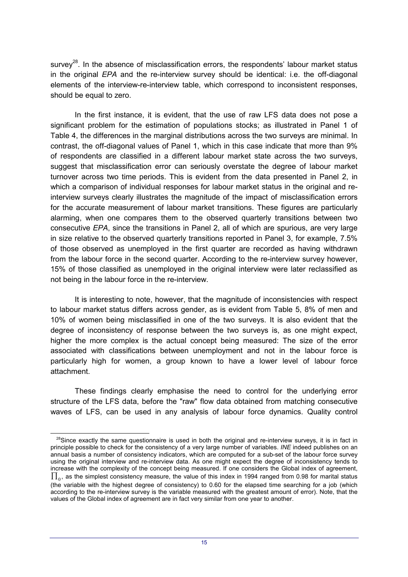survey<sup>28</sup>. In the absence of misclassification errors, the respondents' labour market status in the original *EPA* and the re-interview survey should be identical: i.e. the off-diagonal elements of the interview-re-interview table, which correspond to inconsistent responses, should be equal to zero.

In the first instance, it is evident, that the use of raw LFS data does not pose a significant problem for the estimation of populations stocks; as illustrated in Panel 1 of Table 4, the differences in the marginal distributions across the two surveys are minimal. In contrast, the off-diagonal values of Panel 1, which in this case indicate that more than 9% of respondents are classified in a different labour market state across the two surveys, suggest that misclassification error can seriously overstate the degree of labour market turnover across two time periods. This is evident from the data presented in Panel 2, in which a comparison of individual responses for labour market status in the original and reinterview surveys clearly illustrates the magnitude of the impact of misclassification errors for the accurate measurement of labour market transitions. These figures are particularly alarming, when one compares them to the observed quarterly transitions between two consecutive *EPA*, since the transitions in Panel 2, all of which are spurious, are very large in size relative to the observed quarterly transitions reported in Panel 3, for example, 7.5% of those observed as unemployed in the first quarter are recorded as having withdrawn from the labour force in the second quarter. According to the re-interview survey however, 15% of those classified as unemployed in the original interview were later reclassified as not being in the labour force in the re-interview.

It is interesting to note, however, that the magnitude of inconsistencies with respect to labour market status differs across gender, as is evident from Table 5, 8% of men and 10% of women being misclassified in one of the two surveys. It is also evident that the degree of inconsistency of response between the two surveys is, as one might expect, higher the more complex is the actual concept being measured: The size of the error associated with classifications between unemployment and not in the labour force is particularly high for women, a group known to have a lower level of labour force attachment.

These findings clearly emphasise the need to control for the underlying error structure of the LFS data, before the "raw" flow data obtained from matching consecutive waves of LFS, can be used in any analysis of labour force dynamics. Quality control

l

 $28$ Since exactly the same questionnaire is used in both the original and re-interview surveys, it is in fact in principle possible to check for the consistency of a very large number of variables. *INE* indeed publishes on an annual basis a number of consistency indicators, which are computed for a sub-set of the labour force survey using the original interview and re-interview data. As one might expect the degree of inconsistency tends to increase with the complexity of the concept being measured. If one considers the Global index of agreement,  $\prod_{\alpha}$ , as the simplest consistency measure, the value of this index in 1994 ranged from 0.98 for marital status (the variable with the highest degree of consistency) to 0.60 for the elapsed time searching for a job (which according to the re-interview survey is the variable measured with the greatest amount of error). Note, that the values of the Global index of agreement are in fact very similar from one year to another.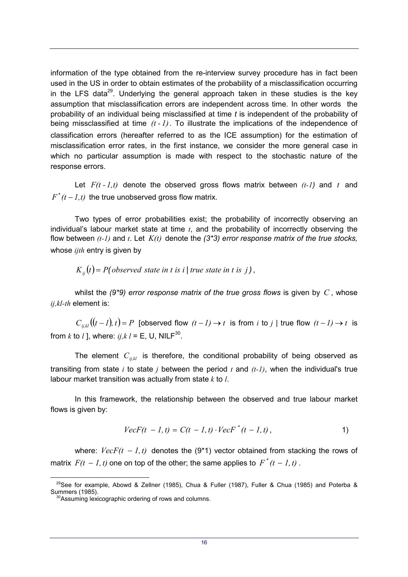information of the type obtained from the re-interview survey procedure has in fact been used in the US in order to obtain estimates of the probability of a misclassification occurring in the LFS data<sup>29</sup>. Underlying the general approach taken in these studies is the key assumption that misclassification errors are independent across time. In other words the probability of an individual being misclassified at time *t* is independent of the probability of being missclassified at time *(t - 1)*. To illustrate the implications of the independence of classification errors (hereafter referred to as the ICE assumption) for the estimation of misclassification error rates, in the first instance, we consider the more general case in which no particular assumption is made with respect to the stochastic nature of the response errors.

Let  $F(t - 1, t)$  denote the observed gross flows matrix between  $(t-1)$  and  $t$  and  $F^*(t-1,t)$  the true unobserved gross flow matrix.

Two types of error probabilities exist; the probability of incorrectly observing an individual's labour market state at time *t*, and the probability of incorrectly observing the flow between *(t-1)* and *t*. Let *K(t)* denote the *(3\*3) error response matrix of the true stocks,* whose *iith* entry is given by

 $K_{ij}(t) = P(observed state in t is i | true state in t is j)$  ,

whilst the *(9\*9) error response matrix of the true gross flows* is given by *C* , whose *ij,kl-th* element is:

 $C_{ijkl}((t-1), t) = P$  [observed flow  $(t-1) \rightarrow t$  is from *i* to *j* | true flow  $(t-1) \rightarrow t$  is from *k* to *l* ], where:  $i j, k l = E$ , U, NILF<sup>30</sup>.

The element  $C_{ijkl}$  is therefore, the conditional probability of being observed as transiting from state *i* to state *j* between the period *t* and *(t-1)*, when the individual's true labour market transition was actually from state *k* to *l*.

In this framework, the relationship between the observed and true labour market flows is given by:

$$
VecF(t - 1, t) = C(t - 1, t) \cdot VecF^{*}(t - 1, t),
$$
 (1)

where:  $VecF(t - 1, t)$  denotes the (9<sup>\*</sup>1) vector obtained from stacking the rows of matrix  $F(t - 1, t)$  one on top of the other; the same applies to  $F^*(t - 1, t)$ .

 $\overline{a}$ 

<sup>&</sup>lt;sup>29</sup>See for example, Abowd & Zellner (1985), Chua & Fuller (1987), Fuller & Chua (1985) and Poterba & Summers (1985).

<sup>&</sup>lt;sup>30</sup>Assuming lexicographic ordering of rows and columns.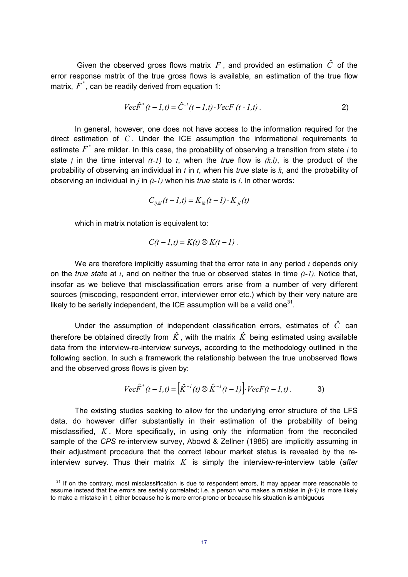Given the observed gross flows matrix  $F$ , and provided an estimation  $\hat{C}$  of the error response matrix of the true gross flows is available, an estimation of the true flow matrix,  $F^*$ , can be readily derived from equation 1:

$$
Vec\hat{F}^{*}(t-l,t) = \hat{C}^{-1}(t-l,t) \cdot VecF(t-l,t).
$$
 (2)

In general, however, one does not have access to the information required for the direct estimation of *C* . Under the ICE assumption the informational requirements to estimate *F*\* are milder. In this case, the probability of observing a transition from state *i* to state *j* in the time interval  $(t-1)$  to  $t$ , when the *true* flow is  $(k, l)$ , is the product of the probability of observing an individual in *i* in *t*, when his *true* state is *k*, and the probability of observing an individual in *j* in *(t-1)* when his *true* state is *l*. In other words:

$$
C_{ij,kl}(t - 1, t) = K_{ik}(t - 1) \cdot K_{jl}(t)
$$

which in matrix notation is equivalent to:

 $\overline{a}$ 

$$
C(t - 1, t) = K(t) \otimes K(t - 1).
$$

We are therefore implicitly assuming that the error rate in any period *t* depends only on the *true state* at *t*, and on neither the true or observed states in time *(t-1).* Notice that, insofar as we believe that misclassification errors arise from a number of very different sources (miscoding, respondent error, interviewer error etc.) which by their very nature are likely to be serially independent, the ICE assumption will be a valid one<sup>31</sup>.

Under the assumption of independent classification errors, estimates of *Cˆ* can therefore be obtained directly from  $\hat{K}$ , with the matrix  $\hat{K}$  being estimated using available data from the interview-re-interview surveys, according to the methodology outlined in the following section. In such a framework the relationship between the true unobserved flows and the observed gross flows is given by:

$$
Vec\hat{F}^{*}(t - 1, t) = [\hat{K}^{-1}(t) \otimes \hat{K}^{-1}(t - 1)]. \quad VecF(t - 1, t).
$$

The existing studies seeking to allow for the underlying error structure of the LFS data, do however differ substantially in their estimation of the probability of being misclassified, *K* . More specifically, in using only the information from the reconciled sample of the *CPS* re-interview survey, Abowd & Zellner (1985) are implicitly assuming in their adjustment procedure that the correct labour market status is revealed by the reinterview survey. Thus their matrix *K* is simply the interview-re-interview table (*after*

<sup>&</sup>lt;sup>31</sup> If on the contrary, most misclassification is due to respondent errors, it may appear more reasonable to assume instead that the errors are serially correlated; i.e. a person who makes a mistake in *(t-1)* is more likely to make a mistake in *t*, either because he is more error-prone or because his situation is ambiguous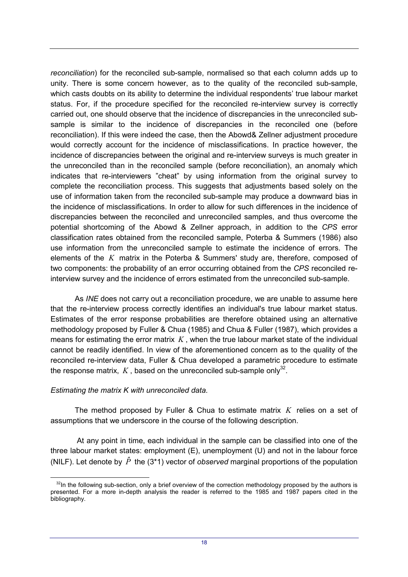*reconciliation*) for the reconciled sub-sample, normalised so that each column adds up to unity. There is some concern however, as to the quality of the reconciled sub-sample, which casts doubts on its ability to determine the individual respondents' true labour market status. For, if the procedure specified for the reconciled re-interview survey is correctly carried out, one should observe that the incidence of discrepancies in the unreconciled subsample is similar to the incidence of discrepancies in the reconciled one (before reconciliation). If this were indeed the case, then the Abowd& Zellner adjustment procedure would correctly account for the incidence of misclassifications. In practice however, the incidence of discrepancies between the original and re-interview surveys is much greater in the unreconciled than in the reconciled sample (before reconciliation), an anomaly which indicates that re-interviewers "cheat" by using information from the original survey to complete the reconciliation process. This suggests that adjustments based solely on the use of information taken from the reconciled sub-sample may produce a downward bias in the incidence of misclassifications. In order to allow for such differences in the incidence of discrepancies between the reconciled and unreconciled samples, and thus overcome the potential shortcoming of the Abowd & Zellner approach, in addition to the *CPS* error classification rates obtained from the reconciled sample, Poterba & Summers (1986) also use information from the unreconciled sample to estimate the incidence of errors. The elements of the *K* matrix in the Poterba & Summers' study are, therefore, composed of two components: the probability of an error occurring obtained from the *CPS* reconciled reinterview survey and the incidence of errors estimated from the unreconciled sub-sample.

As *INE* does not carry out a reconciliation procedure, we are unable to assume here that the re-interview process correctly identifies an individual's true labour market status. Estimates of the error response probabilities are therefore obtained using an alternative methodology proposed by Fuller & Chua (1985) and Chua & Fuller (1987), which provides a means for estimating the error matrix *K* , when the true labour market state of the individual cannot be readily identified. In view of the aforementioned concern as to the quality of the reconciled re-interview data, Fuller & Chua developed a parametric procedure to estimate the response matrix,  $K$ , based on the unreconciled sub-sample only<sup>32</sup>.

## *Estimating the matrix K with unreconciled data.*

 $\overline{a}$ 

The method proposed by Fuller & Chua to estimate matrix *K* relies on a set of assumptions that we underscore in the course of the following description.

 At any point in time, each individual in the sample can be classified into one of the three labour market states: employment (E), unemployment (U) and not in the labour force (NILF). Let denote by  $\hat{P}$  the (3<sup>\*</sup>1) vector of *observed* marginal proportions of the population

 $32$ In the following sub-section, only a brief overview of the correction methodology proposed by the authors is presented. For a more in-depth analysis the reader is referred to the 1985 and 1987 papers cited in the bibliography.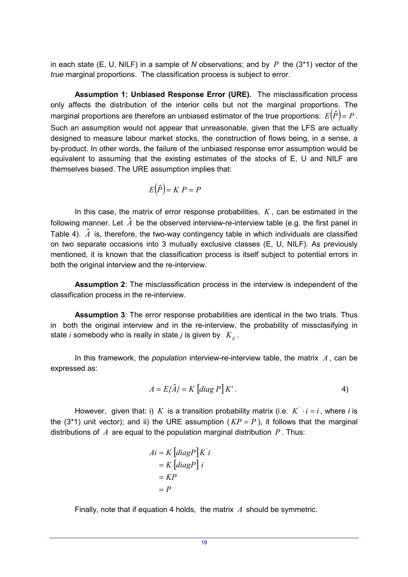in each state (E, U, NILF) in a sample of *N* observations; and by *P* the (3\*1) vector of the *true* marginal proportions. The classification process is subject to error.

**Assumption 1: Unbiased Response Error (URE).** The misclassification process only affects the distribution of the interior cells but not the marginal proportions. The marginal proportions are therefore an unbiased estimator of the true proportions:  $E\big(\hat{P}\big)$ =  $P$  . Such an assumption would not appear that unreasonable, given that the LFS are actually designed to measure labour market stocks, the construction of flows being, in a sense, a by-product. In other words, the failure of the unbiased response error assumption would be equivalent to assuming that the existing estimates of the stocks of E, U and NILF are themselves biased. The URE assumption implies that:

$$
E(\hat{P}) = K P = P
$$

In this case, the matrix of error response probabilities,  $K$ , can be estimated in the following manner. Let  $\hat{A}$  be the observed interview-re-interview table (e.g. the first panel in Table 4).  $\hat{A}$  is, therefore, the two-way contingency table in which individuals are classified on two separate occasions into 3 mutually exclusive classes (E, U, NILF). As previously mentioned, it is known that the classification process is itself subject to potential errors in both the original interview and the re-interview.

**Assumption 2**: The misclassification process in the interview is independent of the classification process in the re-interview.

**Assumption 3**: The error response probabilities are identical in the two trials. Thus in both the original interview and in the re-interview, the probability of missclasifying in state *i* somebody who is really in state *j* is given by  $K_{ii}$ .

In this framework, the *population* interview-re-interview table, the matrix *A* , can be expressed as:

$$
A = E\{\hat{A}\} = K \left[ diag \, P \right] K' \,. \tag{4}
$$

However, given that: i) *K* is a transition probability matrix (i.e.  $K \cdot i = i$ , where *i* is the (3<sup>\*</sup>1) unit vector); and ii) the URE assumption ( $KP = P$ ), it follows that the marginal distributions of *A* are equal to the population marginal distribution *P* . Thus:

$$
Ai = K \left[ diagP \right] K'i
$$

$$
= K \left[ diagP \right] i
$$

$$
= KP
$$

$$
= P
$$

Finally, note that if equation 4 holds, the matrix *A* should be symmetric.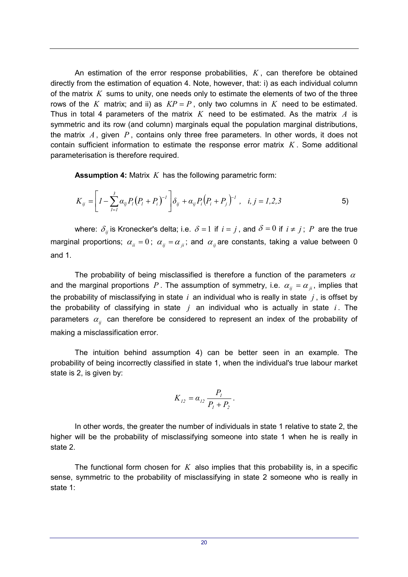An estimation of the error response probabilities,  $K$ , can therefore be obtained directly from the estimation of equation 4. Note, however, that: i) as each individual column of the matrix *K* sums to unity, one needs only to estimate the elements of two of the three rows of the *K* matrix; and ii) as  $KP = P$ , only two columns in *K* need to be estimated. Thus in total 4 parameters of the matrix *K* need to be estimated. As the matrix *A* is symmetric and its row (and column) marginals equal the population marginal distributions, the matrix *A* , given *P* , contains only three free parameters. In other words, it does not contain sufficient information to estimate the response error matrix *K* . Some additional parameterisation is therefore required.

**Assumption 4:** Matrix *K* has the following parametric form:

$$
K_{ij} = \left[ I - \sum_{l=1}^{3} \alpha_{lj} P_l (P_l + P_i)^{-l} \right] \delta_{ij} + \alpha_{ij} P_i (P_i + P_j)^{-l} , \quad i, j = 1, 2, 3
$$

where:  $\delta_{ij}$  is Kronecker's delta; i.e.  $\delta = 1$  if  $i = j$  , and  $\delta = 0$  if  $i \neq j$ ;  $P$  are the true marginal proportions;  $\alpha_{ii} = 0$ ;  $\alpha_{jj} = \alpha_{jj}$ ; and  $\alpha_{jj}$  are constants, taking a value between 0 and 1.

The probability of being misclassified is therefore a function of the parameters  $\alpha$ and the marginal proportions P. The assumption of symmetry, i.e.  $\alpha_{ii} = \alpha_{ii}$ , implies that the probability of misclassifying in state *i* an individual who is really in state *j* , is offset by the probability of classifying in state *j* an individual who is actually in state *i* . The parameters  $\alpha_{ij}$  can therefore be considered to represent an index of the probability of making a misclassification error.

The intuition behind assumption 4) can be better seen in an example. The probability of being incorrectly classified in state 1, when the individual's true labour market state is 2, is given by:

$$
K_{12} = \alpha_{12} \frac{P_1}{P_1 + P_2}.
$$

In other words, the greater the number of individuals in state 1 relative to state 2, the higher will be the probability of misclassifying someone into state 1 when he is really in state 2.

The functional form chosen for *K* also implies that this probability is, in a specific sense, symmetric to the probability of misclassifying in state 2 someone who is really in state 1: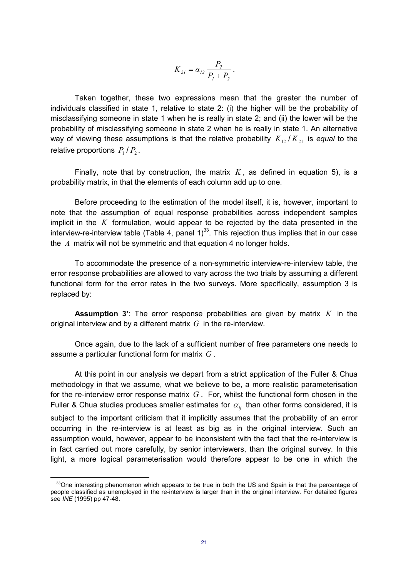$$
K_{2l} = \alpha_{l2} \frac{P_2}{P_1 + P_2}.
$$

Taken together, these two expressions mean that the greater the number of individuals classified in state 1, relative to state 2: (i) the higher will be the probability of misclassifying someone in state 1 when he is really in state 2; and (ii) the lower will be the probability of misclassifying someone in state 2 when he is really in state 1. An alternative way of viewing these assumptions is that the relative probability  $K_{12}/K_{21}$  is *equal* to the relative proportions  $P_1/P_2$ .

Finally, note that by construction, the matrix  $K$ , as defined in equation 5), is a probability matrix, in that the elements of each column add up to one.

Before proceeding to the estimation of the model itself, it is, however, important to note that the assumption of equal response probabilities across independent samples implicit in the *K* formulation, would appear to be rejected by the data presented in the interview-re-interview table (Table 4, panel  $1)^{33}$ . This rejection thus implies that in our case the *A* matrix will not be symmetric and that equation 4 no longer holds.

To accommodate the presence of a non-symmetric interview-re-interview table, the error response probabilities are allowed to vary across the two trials by assuming a different functional form for the error rates in the two surveys. More specifically, assumption 3 is replaced by:

**Assumption 3'**: The error response probabilities are given by matrix *K* in the original interview and by a different matrix *G* in the re-interview.

Once again, due to the lack of a sufficient number of free parameters one needs to assume a particular functional form for matrix *G* .

At this point in our analysis we depart from a strict application of the Fuller & Chua methodology in that we assume, what we believe to be, a more realistic parameterisation for the re-interview error response matrix *G* . For, whilst the functional form chosen in the Fuller & Chua studies produces smaller estimates for  $\alpha_{ij}$  than other forms considered, it is subject to the important criticism that it implicitly assumes that the probability of an error occurring in the re-interview is at least as big as in the original interview. Such an assumption would, however, appear to be inconsistent with the fact that the re-interview is in fact carried out more carefully, by senior interviewers, than the original survey. In this light, a more logical parameterisation would therefore appear to be one in which the

l

<sup>&</sup>lt;sup>33</sup>One interesting phenomenon which appears to be true in both the US and Spain is that the percentage of people classified as unemployed in the re-interview is larger than in the original interview. For detailed figures see *INE* (1995) pp 47-48.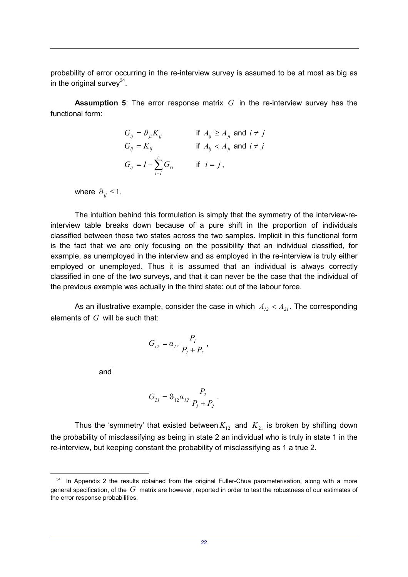probability of error occurring in the re-interview survey is assumed to be at most as big as in the original survey $34$ .

**Assumption 5**: The error response matrix *G* in the re-interview survey has the functional form:

$$
G_{ij} = \mathcal{G}_{ji} K_{ij} \qquad \text{if } A_{ij} \ge A_{ji} \text{ and } i \ne j
$$
  
\n
$$
G_{ij} = K_{ij} \qquad \text{if } A_{ij} < A_{ji} \text{ and } i \ne j
$$
  
\n
$$
G_{ij} = I - \sum_{i=1}^{r} G_{ri} \qquad \text{if } i = j,
$$

where  $\vartheta_{ij} \leq 1$ .

The intuition behind this formulation is simply that the symmetry of the interview-reinterview table breaks down because of a pure shift in the proportion of individuals classified between these two states across the two samples. Implicit in this functional form is the fact that we are only focusing on the possibility that an individual classified, for example, as unemployed in the interview and as employed in the re-interview is truly either employed or unemployed. Thus it is assumed that an individual is always correctly classified in one of the two surveys, and that it can never be the case that the individual of the previous example was actually in the third state: out of the labour force.

As an illustrative example, consider the case in which  $A_{12} < A_{21}$ . The corresponding elements of *G* will be such that:

$$
G_{12} = \alpha_{12} \, \frac{P_1}{P_1 + P_2},
$$

and

l

$$
G_{21} = \vartheta_{12} \alpha_{12} \frac{P_2}{P_1 + P_2}.
$$

Thus the 'symmetry' that existed between  $K_{12}$  and  $K_{21}$  is broken by shifting down the probability of misclassifying as being in state 2 an individual who is truly in state 1 in the re-interview, but keeping constant the probability of misclassifying as 1 a true 2.

<sup>&</sup>lt;sup>34</sup> In Appendix 2 the results obtained from the original Fuller-Chua parameterisation, along with a more general specification, of the *G* matrix are however, reported in order to test the robustness of our estimates of the error response probabilities.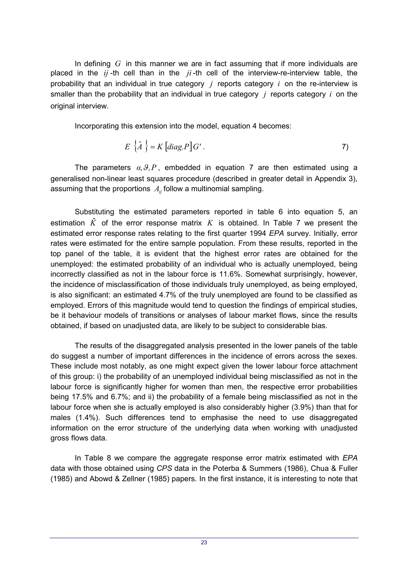In defining *G* in this manner we are in fact assuming that if more individuals are placed in the *ij* -th cell than in the *ji* -th cell of the interview-re-interview table, the probability that an individual in true category *j* reports category *i* on the re-interview is smaller than the probability that an individual in true category *j* reports category *i* on the original interview.

Incorporating this extension into the model, equation 4 becomes:

$$
E\left\{\hat{A}\right\} = K\left[diag.P\right]G'.
$$

The parameters  $\alpha$ ,  $\beta$ , P, embedded in equation 7 are then estimated using a generalised non-linear least squares procedure (described in greater detail in Appendix 3), assuming that the proportions  $A_{ii}$  follow a multinomial sampling.

Substituting the estimated parameters reported in table 6 into equation 5, an estimation  $\hat{K}$  of the error response matrix  $K$  is obtained. In Table 7 we present the estimated error response rates relating to the first quarter 1994 *EPA* survey. Initially, error rates were estimated for the entire sample population. From these results, reported in the top panel of the table, it is evident that the highest error rates are obtained for the unemployed: the estimated probability of an individual who is actually unemployed, being incorrectly classified as not in the labour force is 11.6%. Somewhat surprisingly, however, the incidence of misclassification of those individuals truly unemployed, as being employed, is also significant: an estimated 4.7% of the truly unemployed are found to be classified as employed. Errors of this magnitude would tend to question the findings of empirical studies, be it behaviour models of transitions or analyses of labour market flows, since the results obtained, if based on unadjusted data, are likely to be subject to considerable bias.

The results of the disaggregated analysis presented in the lower panels of the table do suggest a number of important differences in the incidence of errors across the sexes. These include most notably, as one might expect given the lower labour force attachment of this group: i) the probability of an unemployed individual being misclassified as not in the labour force is significantly higher for women than men, the respective error probabilities being 17.5% and 6.7%; and ii) the probability of a female being misclassified as not in the labour force when she is actually employed is also considerably higher (3.9%) than that for males (1.4%). Such differences tend to emphasise the need to use disaggregated information on the error structure of the underlying data when working with unadjusted gross flows data.

In Table 8 we compare the aggregate response error matrix estimated with *EPA* data with those obtained using *CPS* data in the Poterba & Summers (1986), Chua & Fuller (1985) and Abowd & Zellner (1985) papers. In the first instance, it is interesting to note that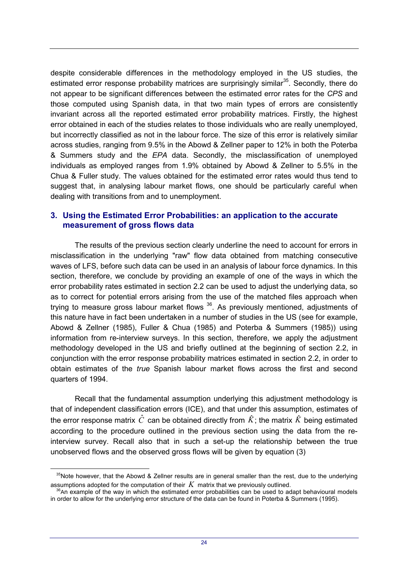despite considerable differences in the methodology employed in the US studies, the estimated error response probability matrices are surprisingly similar<sup>35</sup>. Secondly, there do not appear to be significant differences between the estimated error rates for the *CPS* and those computed using Spanish data, in that two main types of errors are consistently invariant across all the reported estimated error probability matrices. Firstly, the highest error obtained in each of the studies relates to those individuals who are really unemployed, but incorrectly classified as not in the labour force. The size of this error is relatively similar across studies, ranging from 9.5% in the Abowd & Zellner paper to 12% in both the Poterba & Summers study and the *EPA* data. Secondly, the misclassification of unemployed individuals as employed ranges from 1.9% obtained by Abowd & Zellner to 5.5% in the Chua & Fuller study. The values obtained for the estimated error rates would thus tend to suggest that, in analysing labour market flows, one should be particularly careful when dealing with transitions from and to unemployment.

# **3. Using the Estimated Error Probabilities: an application to the accurate measurement of gross flows data**

The results of the previous section clearly underline the need to account for errors in misclassification in the underlying "raw" flow data obtained from matching consecutive waves of LFS, before such data can be used in an analysis of labour force dynamics. In this section, therefore, we conclude by providing an example of one of the ways in which the error probability rates estimated in section 2.2 can be used to adjust the underlying data, so as to correct for potential errors arising from the use of the matched files approach when trying to measure gross labour market flows 36. As previously mentioned, adjustments of this nature have in fact been undertaken in a number of studies in the US (see for example, Abowd & Zellner (1985), Fuller & Chua (1985) and Poterba & Summers (1985)) using information from re-interview surveys. In this section, therefore, we apply the adjustment methodology developed in the US and briefly outlined at the beginning of section 2.2, in conjunction with the error response probability matrices estimated in section 2.2, in order to obtain estimates of the *true* Spanish labour market flows across the first and second quarters of 1994.

Recall that the fundamental assumption underlying this adjustment methodology is that of independent classification errors (ICE), and that under this assumption, estimates of the error response matrix  $\hat{C}$  can be obtained directly from  $\hat{K}$ ; the matrix  $\hat{K}$  being estimated according to the procedure outlined in the previous section using the data from the reinterview survey. Recall also that in such a set-up the relationship between the true unobserved flows and the observed gross flows will be given by equation (3)

l

<sup>&</sup>lt;sup>35</sup>Note however, that the Abowd & Zellner results are in general smaller than the rest, due to the underlying assumptions adopted for the computation of their  $K$  matrix that we previously outlined.<br><sup>36</sup>An example of the way in which the estimated error probabilities can be used to adapt behavioural models

in order to allow for the underlying error structure of the data can be found in Poterba & Summers (1995).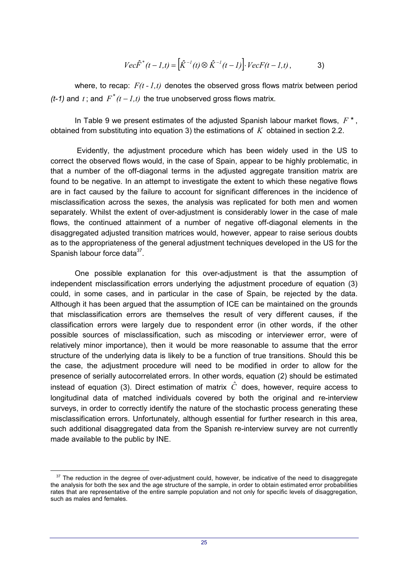$$
Vec\hat{F}^{*}(t-l,t) = [\hat{K}^{-1}(t) \otimes \hat{K}^{-1}(t-l)] \cdot VecF(t-l,t), \qquad \qquad 3)
$$

where, to recap:  $F(t - 1, t)$  denotes the observed gross flows matrix between period *(t-1)* and *t* : and  $F^*(t-1,t)$  the true unobserved gross flows matrix.

In Table 9 we present estimates of the adjusted Spanish labour market flows, *F \** , obtained from substituting into equation 3) the estimations of *K* obtained in section 2.2.

 Evidently, the adjustment procedure which has been widely used in the US to correct the observed flows would, in the case of Spain, appear to be highly problematic, in that a number of the off-diagonal terms in the adjusted aggregate transition matrix are found to be negative. In an attempt to investigate the extent to which these negative flows are in fact caused by the failure to account for significant differences in the incidence of misclassification across the sexes, the analysis was replicated for both men and women separately. Whilst the extent of over-adjustment is considerably lower in the case of male flows, the continued attainment of a number of negative off-diagonal elements in the disaggregated adjusted transition matrices would, however, appear to raise serious doubts as to the appropriateness of the general adjustment techniques developed in the US for the Spanish labour force data $37$ .

One possible explanation for this over-adjustment is that the assumption of independent misclassification errors underlying the adjustment procedure of equation (3) could, in some cases, and in particular in the case of Spain, be rejected by the data. Although it has been argued that the assumption of ICE can be maintained on the grounds that misclassification errors are themselves the result of very different causes, if the classification errors were largely due to respondent error (in other words, if the other possible sources of misclassification, such as miscoding or interviewer error, were of relatively minor importance), then it would be more reasonable to assume that the error structure of the underlying data is likely to be a function of true transitions. Should this be the case, the adjustment procedure will need to be modified in order to allow for the presence of serially autocorrelated errors. In other words, equation (2) should be estimated instead of equation (3). Direct estimation of matrix  $\hat{C}$  does, however, require access to longitudinal data of matched individuals covered by both the original and re-interview surveys, in order to correctly identify the nature of the stochastic process generating these misclassification errors. Unfortunately, although essential for further research in this area, such additional disaggregated data from the Spanish re-interview survey are not currently made available to the public by INE.

 $\overline{a}$ 

<sup>&</sup>lt;sup>37</sup> The reduction in the degree of over-adjustment could, however, be indicative of the need to disaggregate the analysis for both the sex and the age structure of the sample, in order to obtain estimated error probabilities rates that are representative of the entire sample population and not only for specific levels of disaggregation, such as males and females.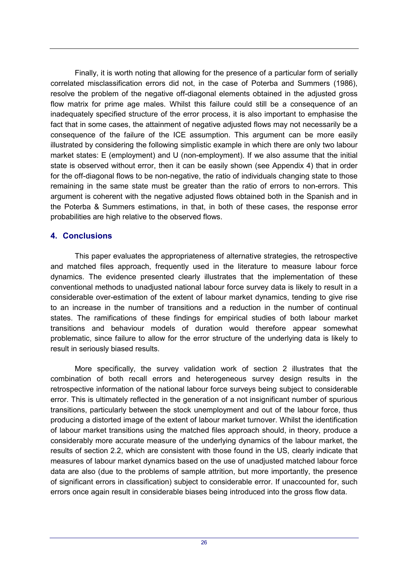Finally, it is worth noting that allowing for the presence of a particular form of serially correlated misclassification errors did not, in the case of Poterba and Summers (1986), resolve the problem of the negative off-diagonal elements obtained in the adjusted gross flow matrix for prime age males. Whilst this failure could still be a consequence of an inadequately specified structure of the error process, it is also important to emphasise the fact that in some cases, the attainment of negative adjusted flows may not necessarily be a consequence of the failure of the ICE assumption. This argument can be more easily illustrated by considering the following simplistic example in which there are only two labour market states: E (employment) and U (non-employment). If we also assume that the initial state is observed without error, then it can be easily shown (see Appendix 4) that in order for the off-diagonal flows to be non-negative, the ratio of individuals changing state to those remaining in the same state must be greater than the ratio of errors to non-errors. This argument is coherent with the negative adjusted flows obtained both in the Spanish and in the Poterba & Summers estimations, in that, in both of these cases, the response error probabilities are high relative to the observed flows.

# **4. Conclusions**

This paper evaluates the appropriateness of alternative strategies, the retrospective and matched files approach, frequently used in the literature to measure labour force dynamics. The evidence presented clearly illustrates that the implementation of these conventional methods to unadjusted national labour force survey data is likely to result in a considerable over-estimation of the extent of labour market dynamics, tending to give rise to an increase in the number of transitions and a reduction in the number of continual states. The ramifications of these findings for empirical studies of both labour market transitions and behaviour models of duration would therefore appear somewhat problematic, since failure to allow for the error structure of the underlying data is likely to result in seriously biased results.

More specifically, the survey validation work of section 2 illustrates that the combination of both recall errors and heterogeneous survey design results in the retrospective information of the national labour force surveys being subject to considerable error. This is ultimately reflected in the generation of a not insignificant number of spurious transitions, particularly between the stock unemployment and out of the labour force, thus producing a distorted image of the extent of labour market turnover. Whilst the identification of labour market transitions using the matched files approach should, in theory, produce a considerably more accurate measure of the underlying dynamics of the labour market, the results of section 2.2, which are consistent with those found in the US, clearly indicate that measures of labour market dynamics based on the use of unadjusted matched labour force data are also (due to the problems of sample attrition, but more importantly, the presence of significant errors in classification) subject to considerable error. If unaccounted for, such errors once again result in considerable biases being introduced into the gross flow data.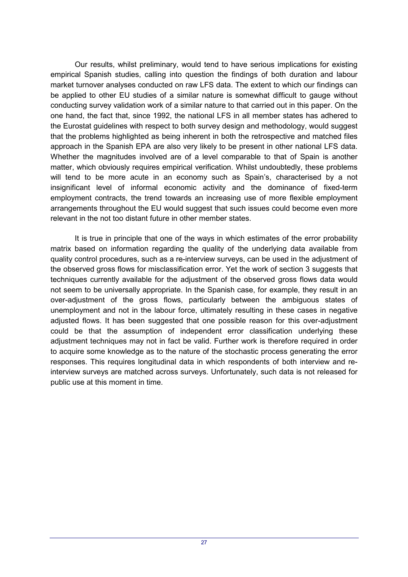Our results, whilst preliminary, would tend to have serious implications for existing empirical Spanish studies, calling into question the findings of both duration and labour market turnover analyses conducted on raw LFS data. The extent to which our findings can be applied to other EU studies of a similar nature is somewhat difficult to gauge without conducting survey validation work of a similar nature to that carried out in this paper. On the one hand, the fact that, since 1992, the national LFS in all member states has adhered to the Eurostat guidelines with respect to both survey design and methodology, would suggest that the problems highlighted as being inherent in both the retrospective and matched files approach in the Spanish EPA are also very likely to be present in other national LFS data. Whether the magnitudes involved are of a level comparable to that of Spain is another matter, which obviously requires empirical verification. Whilst undoubtedly, these problems will tend to be more acute in an economy such as Spain's, characterised by a not insignificant level of informal economic activity and the dominance of fixed-term employment contracts, the trend towards an increasing use of more flexible employment arrangements throughout the EU would suggest that such issues could become even more relevant in the not too distant future in other member states.

It is true in principle that one of the ways in which estimates of the error probability matrix based on information regarding the quality of the underlying data available from quality control procedures, such as a re-interview surveys, can be used in the adjustment of the observed gross flows for misclassification error. Yet the work of section 3 suggests that techniques currently available for the adjustment of the observed gross flows data would not seem to be universally appropriate. In the Spanish case, for example, they result in an over-adjustment of the gross flows, particularly between the ambiguous states of unemployment and not in the labour force, ultimately resulting in these cases in negative adjusted flows. It has been suggested that one possible reason for this over-adjustment could be that the assumption of independent error classification underlying these adjustment techniques may not in fact be valid. Further work is therefore required in order to acquire some knowledge as to the nature of the stochastic process generating the error responses. This requires longitudinal data in which respondents of both interview and reinterview surveys are matched across surveys. Unfortunately, such data is not released for public use at this moment in time.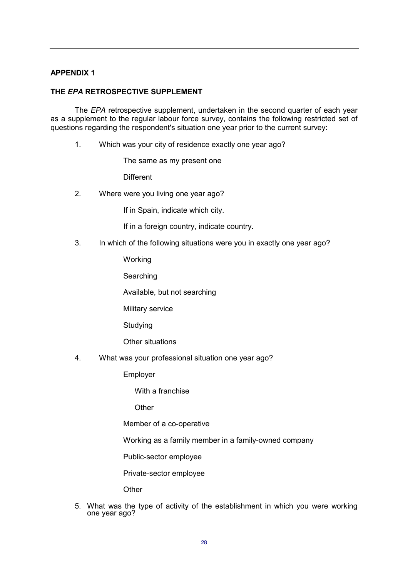# **APPENDIX 1**

## **THE** *EPA* **RETROSPECTIVE SUPPLEMENT**

The *EPA* retrospective supplement, undertaken in the second quarter of each year as a supplement to the regular labour force survey, contains the following restricted set of questions regarding the respondent's situation one year prior to the current survey:

1. Which was your city of residence exactly one year ago?

The same as my present one

**Different** 

2. Where were you living one year ago?

If in Spain, indicate which city.

If in a foreign country, indicate country.

3. In which of the following situations were you in exactly one year ago?

Working

**Searching** 

Available, but not searching

Military service

Studying

Other situations

4. What was your professional situation one year ago?

Employer

With a franchise

**Other** 

Member of a co-operative

Working as a family member in a family-owned company

Public-sector employee

Private-sector employee

**Other** 

5. What was the type of activity of the establishment in which you were working one year ago?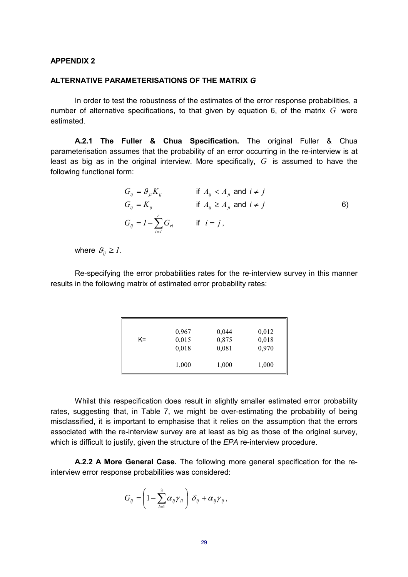#### **APPENDIX 2**

#### **ALTERNATIVE PARAMETERISATIONS OF THE MATRIX** *G*

In order to test the robustness of the estimates of the error response probabilities, a number of alternative specifications, to that given by equation 6, of the matrix *G* were estimated.

**A.2.1 The Fuller & Chua Specification.** The original Fuller & Chua parameterisation assumes that the probability of an error occurring in the re-interview is at least as big as in the original interview. More specifically, *G* is assumed to have the following functional form:

$$
G_{ij} = \mathcal{G}_{ji} K_{ij} \qquad \text{if } A_{ij} < A_{ji} \text{ and } i \neq j
$$
\n
$$
G_{ij} = K_{ij} \qquad \text{if } A_{ij} \ge A_{ji} \text{ and } i \neq j
$$
\n
$$
G_{ij} = I - \sum_{i=1}^{r} G_{ri} \qquad \text{if } i = j \,,
$$
\n
$$
(6)
$$

where  $\mathcal{G}_{ij} \geq 1$ .

Re-specifying the error probabilities rates for the re-interview survey in this manner results in the following matrix of estimated error probability rates:

|    | 0,967          | 0,044          | 0,012          |
|----|----------------|----------------|----------------|
| K= | 0,015<br>0,018 | 0,875<br>0,081 | 0,018<br>0,970 |
|    | 1,000          | 1,000          | 1,000          |

Whilst this respecification does result in slightly smaller estimated error probability rates, suggesting that, in Table 7, we might be over-estimating the probability of being misclassified, it is important to emphasise that it relies on the assumption that the errors associated with the re-interview survey are at least as big as those of the original survey, which is difficult to justify, given the structure of the *EPA* re-interview procedure.

**A.2.2 A More General Case.** The following more general specification for the reinterview error response probabilities was considered:

$$
G_{ij} = \left(1 - \sum_{l=1}^3 \alpha_{lj} \gamma_{il}\right) \delta_{ij} + \alpha_{ij} \gamma_{ij},
$$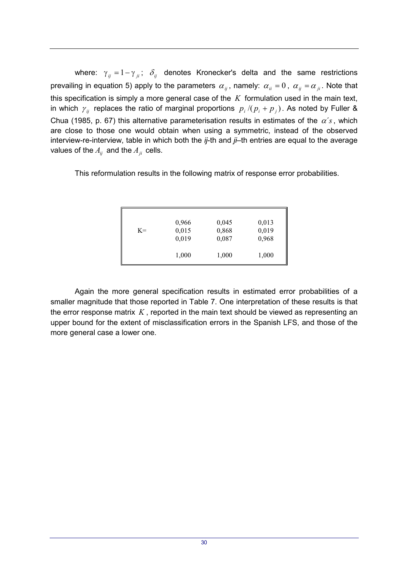where:  $\gamma_{ij} = 1 - \gamma_{ji}$ ;  $\delta_{ij}$  denotes Kronecker's delta and the same restrictions prevailing in equation 5) apply to the parameters  $\alpha_{ij}$ , namely:  $\alpha_{ii} = 0$ ,  $\alpha_{ij} = \alpha_{ji}$ . Note that this specification is simply a more general case of the *K* formulation used in the main text, in which  $\gamma_{ij}$  replaces the ratio of marginal proportions  $p_i / (p_i + p_j)$ . As noted by Fuller & Chua (1985, p. 67) this alternative parameterisation results in estimates of the  $\alpha'$ s, which are close to those one would obtain when using a symmetric, instead of the observed interview-re-interview, table in which both the *ij*-th and *ji*–th entries are equal to the average values of the  $A_{ii}$  and the  $A_{ii}$  cells.

This reformulation results in the following matrix of response error probabilities.

| 0,966 | 0,045 | 0,013 |
|-------|-------|-------|
| 0,015 | 0,868 | 0,019 |
| 0,019 | 0,087 | 0,968 |
|       |       |       |
| 1,000 | 1,000 | 1,000 |
|       |       |       |

Again the more general specification results in estimated error probabilities of a smaller magnitude that those reported in Table 7. One interpretation of these results is that the error response matrix *K* , reported in the main text should be viewed as representing an upper bound for the extent of misclassification errors in the Spanish LFS, and those of the more general case a lower one.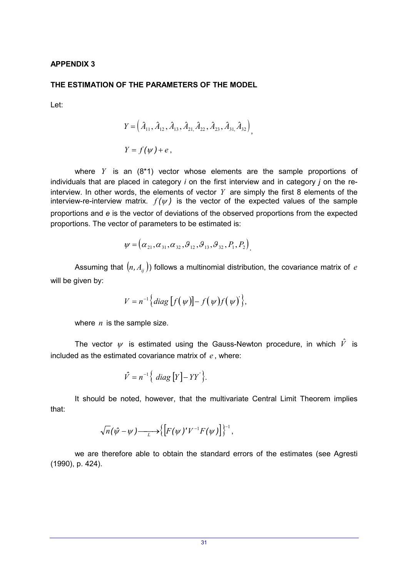#### **APPENDIX 3**

#### **THE ESTIMATION OF THE PARAMETERS OF THE MODEL**

Let:

$$
Y = (A_{11}, A_{12}, A_{13}, A_{21}, A_{22}, A_{23}, A_{31}, A_{32}),
$$
  
\n
$$
Y = f(\psi) + e,
$$

where *Y* is an (8\*1) vector whose elements are the sample proportions of individuals that are placed in category *i* on the first interview and in category *j* on the reinterview. In other words, the elements of vector *Y* are simply the first 8 elements of the interview-re-interview matrix.  $f(\psi)$  is the vector of the expected values of the sample proportions and *e* is the vector of deviations of the observed proportions from the expected proportions. The vector of parameters to be estimated is:

$$
\psi = (\alpha_{21}, \alpha_{31}, \alpha_{32}, \beta_{12}, \beta_{13}, \beta_{32}, P_1, P_2)
$$

Assuming that  $(n, A_{ij}^{\phantom{\dag}})$  follows a multinomial distribution, the covariance matrix of  $e$ will be given by:

$$
V = n^{-1} \Big\{ diag \Big[ f(\psi) \Big] - f(\psi) f(\psi) \Big\},\
$$

where *n* is the sample size.

The vector  $\psi$  is estimated using the Gauss-Newton procedure, in which  $\hat{V}$  is included as the estimated covariance matrix of *e* , where:

$$
\hat{V} = n^{-1} \{ diag [Y] - YY' \}.
$$

It should be noted, however, that the multivariate Central Limit Theorem implies that:

$$
\sqrt{n}(\hat{\psi}-\psi)\frac{\gamma}{\lambda}\left[\frac{1}{2}F(\psi')'V^{-1}F(\psi)\right]\right\}^{-1},\,
$$

we are therefore able to obtain the standard errors of the estimates (see Agresti (1990), p. 424).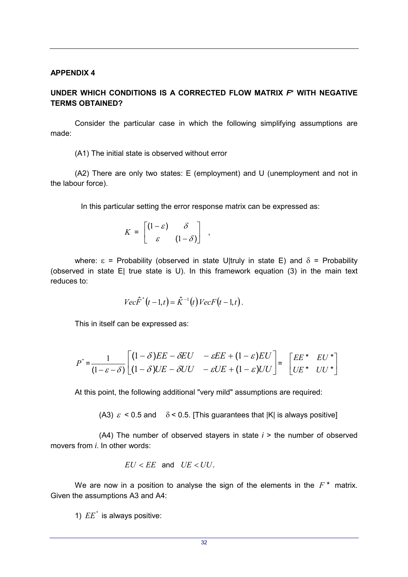#### **APPENDIX 4**

## **UNDER WHICH CONDITIONS IS A CORRECTED FLOW MATRIX** *F***\* WITH NEGATIVE TERMS OBTAINED?**

Consider the particular case in which the following simplifying assumptions are made:

(A1) The initial state is observed without error

(A2) There are only two states: E (employment) and U (unemployment and not in the labour force).

In this particular setting the error response matrix can be expressed as:

$$
K = \begin{bmatrix} (1 - \varepsilon) & \delta \\ \varepsilon & (1 - \delta) \end{bmatrix} ,
$$

where:  $\epsilon$  = Probability (observed in state U|truly in state E) and  $\delta$  = Probability (observed in state E| true state is U). In this framework equation (3) in the main text reduces to:

$$
Vec\hat{F}^{*}(t-1,t) = \hat{K}^{-1}(t)VecF(t-1,t).
$$

This in itself can be expressed as:

$$
P^* = \frac{1}{(1 - \varepsilon - \delta)} \begin{bmatrix} (1 - \delta)EE - \delta EU & -\varepsilon EE + (1 - \varepsilon)EU \\ (1 - \delta)UE - \delta UU & -\varepsilon UE + (1 - \varepsilon)UU \end{bmatrix} = \begin{bmatrix} EE^* & EU^* \\ UE^* & UV^* \end{bmatrix}
$$

At this point, the following additional "very mild" assumptions are required:

(A3)  $\varepsilon$  < 0.5 and  $\delta$  < 0.5. [This guarantees that |K| is always positive]

(A4) The number of observed stayers in state *i* > the number of observed movers from *i*. In other words:

$$
EU < EE \quad \text{and} \quad UE < UU.
$$

We are now in a position to analyse the sign of the elements in the  $F^*$  matrix. Given the assumptions A3 and A4:

1)  $EE^*$  is always positive: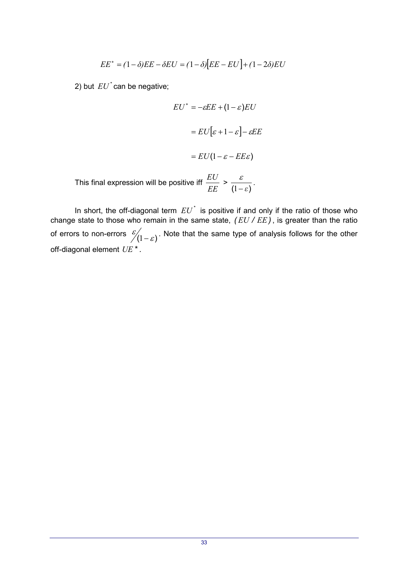$$
EE^* = (1 - \delta)EE - \delta EU = (1 - \delta)[EE - EU] + (1 - 2\delta)EU
$$

2) but  $EU^*$  can be negative;

$$
EU^* = -eEE + (1 - \varepsilon)EU
$$

$$
= EU[\varepsilon + 1 - \varepsilon] - eEE
$$

$$
= EU(1 - \varepsilon - EEE)
$$
This final expression will be positive iff 
$$
\frac{EU}{EE} > \frac{\varepsilon}{(1 - \varepsilon)}.
$$

In short, the off-diagonal term  $EU^*$  is positive if and only if the ratio of those who change state to those who remain in the same state, *( EU / EE)*, is greater than the ratio of errors to non-errors  $\frac{\varepsilon}{\ell(1-\varepsilon)}$ . Note that the same type of analysis follows for the other off-diagonal element *UE\* .*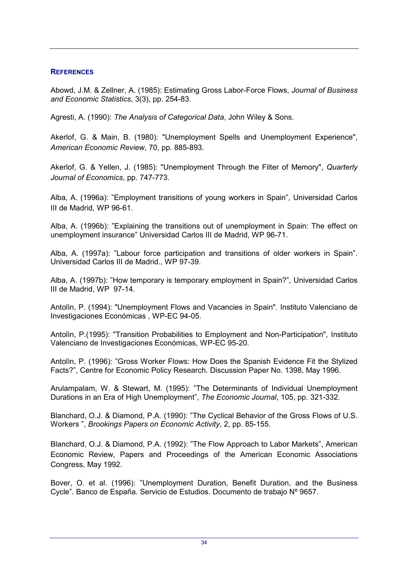## **REFERENCES**

Abowd, J.M. & Zellner, A. (1985): Estimating Gross Labor-Force Flows, *Journal of Business and Economic Statistics*, 3(3), pp. 254-83.

Agresti, A. (1990): *The Analysis of Categorical Data*, John Wiley & Sons.

Akerlof, G. & Main, B. (1980): "Unemployment Spells and Unemployment Experience", *American Economic Review*, 70, pp. 885-893.

Akerlof, G. & Yellen, J. (1985): "Unemployment Through the Filter of Memory", *Quarterly Journal of Economics*, pp. 747-773.

Alba, A. (1996a): "Employment transitions of young workers in Spain", Universidad Carlos III de Madrid, WP 96-61.

Alba, A. (1996b): "Explaining the transitions out of unemployment in Spain: The effect on unemployment insurance" Universidad Carlos III de Madrid, WP 96-71.

Alba, A. (1997a): "Labour force participation and transitions of older workers in Spain". Universidad Carlos III de Madrid., WP 97-39.

Alba, A. (1997b): "How temporary is temporary employment in Spain?", Universidad Carlos III de Madrid, WP 97-14.

Antolìn, P. (1994): "Unemployment Flows and Vacancies in Spain". Instituto Valenciano de Investigaciones Económicas , WP-EC 94-05.

Antolìn, P.(1995): "Transition Probabilities to Employment and Non-Participation", Instituto Valenciano de Investigaciones Económicas, WP-EC 95-20.

Antolìn, P. (1996): "Gross Worker Flows: How Does the Spanish Evidence Fit the Stylized Facts?", Centre for Economic Policy Research. Discussion Paper No. 1398, May 1996.

Arulampalam, W. & Stewart, M. (1995): "The Determinants of Individual Unemployment Durations in an Era of High Unemployment", *The Economic Journal*, 105, pp. 321-332.

Blanchard, O.J. & Diamond, P.A. (1990): "The Cyclical Behavior of the Gross Flows of U.S. Workers ", *Brookings Papers on Economic Activity*, 2, pp. 85-155.

Blanchard, O.J. & Diamond, P.A. (1992): "The Flow Approach to Labor Markets", American Economic Review, Papers and Proceedings of the American Economic Associations Congress, May 1992.

Bover, O. et al. (1996): "Unemployment Duration, Benefit Duration, and the Business Cycle". Banco de España. Servicio de Estudios. Documento de trabajo Nº 9657.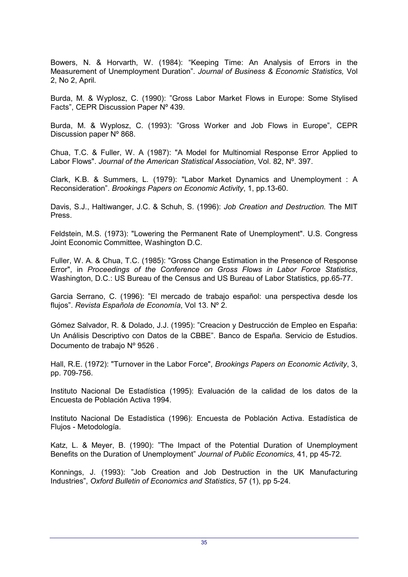Bowers, N. & Horvarth, W. (1984): "Keeping Time: An Analysis of Errors in the Measurement of Unemployment Duration". *Journal of Business & Economic Statistics,* Vol 2, No 2, April*.*

Burda, M. & Wyplosz, C. (1990): "Gross Labor Market Flows in Europe: Some Stylised Facts", CEPR Discussion Paper Nº 439.

Burda, M. & Wyplosz, C. (1993): "Gross Worker and Job Flows in Europe", CEPR Discussion paper Nº 868.

Chua, T.C. & Fuller, W. A (1987): "A Model for Multinomial Response Error Applied to Labor Flows". *Journal of the American Statistical Association*, Vol. 82, Nº. 397.

Clark, K.B. & Summers, L. (1979): "Labor Market Dynamics and Unemployment : A Reconsideration". *Brookings Papers on Economic Activity*, 1, pp.13-60.

Davis, S.J., Haltiwanger, J.C. & Schuh, S. (1996): *Job Creation and Destruction.* The MIT Press.

Feldstein, M.S. (1973): "Lowering the Permanent Rate of Unemployment". U.S. Congress Joint Economic Committee, Washington D.C.

Fuller, W. A. & Chua, T.C. (1985): "Gross Change Estimation in the Presence of Response Error", in *Proceedings of the Conference on Gross Flows in Labor Force Statistics*, Washington, D.C.: US Bureau of the Census and US Bureau of Labor Statistics, pp.65-77.

Garcia Serrano, C. (1996): "El mercado de trabajo español: una perspectiva desde los flujos". *Revista Española de Economía*, Vol 13. Nº 2.

Gómez Salvador, R. & Dolado, J.J. (1995): "Creacion y Destrucción de Empleo en España: Un Análisis Descriptivo con Datos de la CBBE". Banco de España. Servicio de Estudios. Documento de trabajo Nº 9526 .

Hall, R.E. (1972): "Turnover in the Labor Force", *Brookings Papers on Economic Activity*, 3, pp. 709-756.

Instituto Nacional De Estadística (1995): Evaluación de la calidad de los datos de la Encuesta de Población Activa 1994.

Instituto Nacional De Estadística (1996): Encuesta de Población Activa. Estadística de Flujos - Metodología.

Katz, L. & Meyer, B. (1990): "The Impact of the Potential Duration of Unemployment Benefits on the Duration of Unemployment" *Journal of Public Economics,* 41, pp 45-72*.*

Konnings, J. (1993): "Job Creation and Job Destruction in the UK Manufacturing Industries", *Oxford Bulletin of Economics and Statistics*, 57 (1), pp 5-24.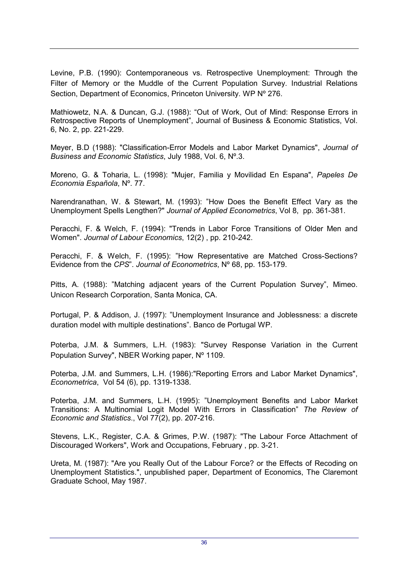Levine, P.B. (1990): Contemporaneous vs. Retrospective Unemployment: Through the Filter of Memory or the Muddle of the Current Population Survey. Industrial Relations Section, Department of Economics, Princeton University. WP Nº 276.

Mathiowetz, N.A. & Duncan, G.J. (1988): "Out of Work, Out of Mind: Response Errors in Retrospective Reports of Unemployment", Journal of Business & Economic Statistics, Vol. 6, No. 2, pp. 221-229.

Meyer, B.D (1988): "Classification-Error Models and Labor Market Dynamics", *Journal of Business and Economic Statistics*, July 1988, Vol. 6, Nº.3.

Moreno, G. & Toharia, L. (1998): "Mujer, Familia y Movilidad En Espana", *Papeles De Economia Española*, Nº. 77.

Narendranathan, W. & Stewart, M. (1993): "How Does the Benefit Effect Vary as the Unemployment Spells Lengthen?" *Journal of Applied Econometrics*, Vol 8, pp. 361-381.

Peracchi, F. & Welch, F. (1994): "Trends in Labor Force Transitions of Older Men and Women". *Journal of Labour Economics*, 12(2) , pp. 210-242.

Peracchi, F. & Welch, F. (1995): "How Representative are Matched Cross-Sections? Evidence from the *CPS*". *Journal of Econometrics*, Nº 68, pp. 153-179.

Pitts, A. (1988): "Matching adjacent years of the Current Population Survey", Mimeo. Unicon Research Corporation, Santa Monica, CA.

Portugal, P. & Addison, J. (1997): "Unemployment Insurance and Joblessness: a discrete duration model with multiple destinations". Banco de Portugal WP.

Poterba, J.M. & Summers, L.H. (1983): "Survey Response Variation in the Current Population Survey", NBER Working paper, Nº 1109.

Poterba, J.M. and Summers, L.H. (1986):"Reporting Errors and Labor Market Dynamics", *Econometrica*, Vol 54 (6), pp. 1319-1338.

Poterba, J.M. and Summers, L.H. (1995): "Unemployment Benefits and Labor Market Transitions: A Multinomial Logit Model With Errors in Classification" *The Review of Economic and Statistics*., Vol 77(2), pp. 207-216.

Stevens, L.K., Register, C.A. & Grimes, P.W. (1987): "The Labour Force Attachment of Discouraged Workers", Work and Occupations, February , pp. 3-21.

Ureta, M. (1987): "Are you Really Out of the Labour Force? or the Effects of Recoding on Unemployment Statistics.", unpublished paper, Department of Economics, The Claremont Graduate School, May 1987.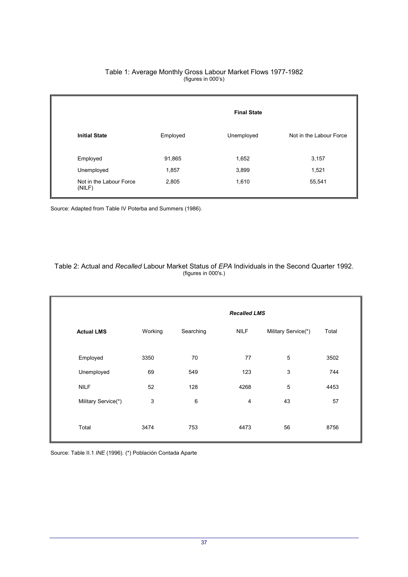#### Table 1: Average Monthly Gross Labour Market Flows 1977-1982 (figures in 000's)

|                                   | <b>Final State</b> |            |                         |  |
|-----------------------------------|--------------------|------------|-------------------------|--|
| <b>Initial State</b>              | Employed           | Unemployed | Not in the Labour Force |  |
| Employed                          | 91,865             | 1,652      | 3,157                   |  |
| Unemployed                        | 1,857              | 3,899      | 1,521                   |  |
| Not in the Labour Force<br>(NILF) | 2,805              | 1,610      | 55,541                  |  |

Source: Adapted from Table IV Poterba and Summers (1986).

#### Table 2: Actual and *Recalled* Labour Market Status of *EPA* Individuals in the Second Quarter 1992. (figures in 000's.)

|                     | <b>Recalled LMS</b> |           |             |                     |       |
|---------------------|---------------------|-----------|-------------|---------------------|-------|
| <b>Actual LMS</b>   | Working             | Searching | <b>NILF</b> | Military Service(*) | Total |
| Employed            | 3350                | 70        | 77          | $\overline{5}$      | 3502  |
| Unemployed          | 69                  | 549       | 123         | $\mathsf 3$         | 744   |
| <b>NILF</b>         | 52                  | 128       | 4268        | 5                   | 4453  |
| Military Service(*) | 3                   | $\,6\,$   | 4           | 43                  | 57    |
| Total               | 3474                | 753       | 4473        | 56                  | 8756  |

Source: Table II.1 *INE* (1996). (\*) Población Contada Aparte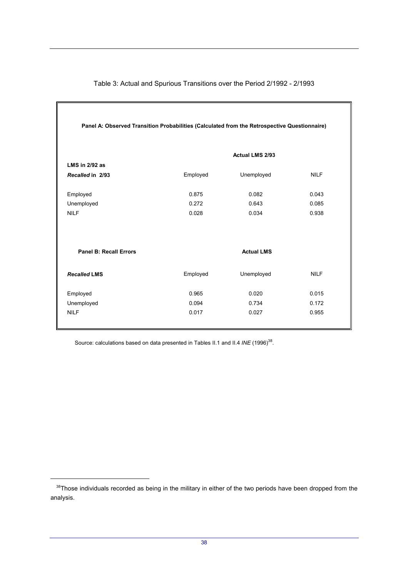| Panel A: Observed Transition Probabilities (Calculated from the Retrospective Questionnaire) |          |                        |             |  |  |
|----------------------------------------------------------------------------------------------|----------|------------------------|-------------|--|--|
|                                                                                              |          | <b>Actual LMS 2/93</b> |             |  |  |
| <b>LMS in 2/92 as</b>                                                                        |          |                        |             |  |  |
| Recalled in 2/93                                                                             | Employed | Unemployed             | <b>NILF</b> |  |  |
|                                                                                              |          |                        |             |  |  |
| Employed                                                                                     | 0.875    | 0.082                  | 0.043       |  |  |
| Unemployed                                                                                   | 0.272    | 0.643                  | 0.085       |  |  |
| <b>NILF</b>                                                                                  | 0.028    | 0.034                  | 0.938       |  |  |
| <b>Panel B: Recall Errors</b>                                                                |          | <b>Actual LMS</b>      |             |  |  |
| <b>Recalled LMS</b>                                                                          | Employed | Unemployed             | <b>NILF</b> |  |  |
| Employed                                                                                     | 0.965    | 0.020                  | 0.015       |  |  |
| Unemployed                                                                                   | 0.094    | 0.734                  | 0.172       |  |  |
| <b>NILF</b>                                                                                  | 0.017    | 0.027                  | 0.955       |  |  |

Table 3: Actual and Spurious Transitions over the Period 2/1992 - 2/1993

Source: calculations based on data presented in Tables II.1 and II.4 INE (1996)<sup>38</sup>.

 $\overline{a}$ 

<sup>&</sup>lt;sup>38</sup>Those individuals recorded as being in the military in either of the two periods have been dropped from the analysis.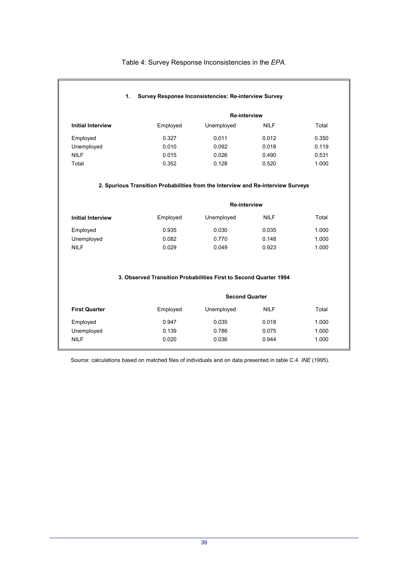#### Table 4: Survey Response Inconsistencies in the *EPA*.

#### **1. Survey Response Inconsistencies: Re-interview Survey**

|                          |          | <b>Re-interview</b> |             |       |
|--------------------------|----------|---------------------|-------------|-------|
| <b>Initial Interview</b> | Employed | Unemployed          | <b>NILF</b> | Total |
| Employed                 | 0.327    | 0.011               | 0.012       | 0.350 |
| Unemployed               | 0.010    | 0.092               | 0.018       | 0.119 |
| <b>NILF</b>              | 0.015    | 0.026               | 0.490       | 0.531 |
| Total                    | 0.352    | 0.128               | 0.520       | 1.000 |

#### **2. Spurious Transition Probabilities from the Interview and Re-interview Surveys**

|                          |          | <b>Re-interview</b> |             |       |
|--------------------------|----------|---------------------|-------------|-------|
| <b>Initial Interview</b> | Employed | Unemployed          | <b>NILF</b> | Total |
| Employed                 | 0.935    | 0.030               | 0.035       | 1.000 |
| Unemployed               | 0.082    | 0.770               | 0.148       | 1.000 |
| NILF                     | 0.029    | 0.049               | 0.923       | 1.000 |

#### **3. Observed Transition Probabilities First to Second Quarter 1994**

|                      |          | <b>Second Quarter</b> |             |       |
|----------------------|----------|-----------------------|-------------|-------|
| <b>First Quarter</b> | Employed | Unemployed            | <b>NILF</b> | Total |
| Employed             | 0.947    | 0.035                 | 0.018       | 1.000 |
| Unemployed           | 0.139    | 0.786                 | 0.075       | 1.000 |
| <b>NILF</b>          | 0.020    | 0.036                 | 0.944       | 1.000 |

Source: calculations based on matched files of individuals and on data presented in table C.4 *INE* (1995).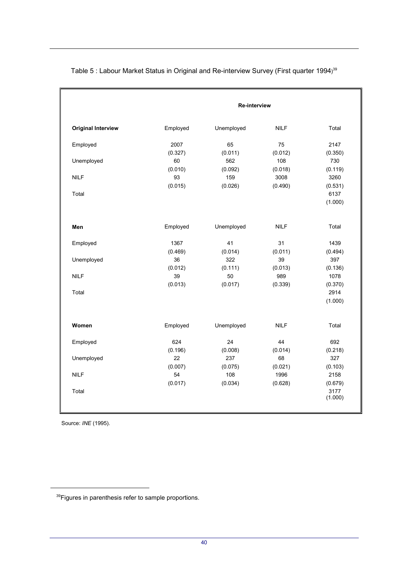|                           |          | <b>Re-interview</b> |             |         |  |  |
|---------------------------|----------|---------------------|-------------|---------|--|--|
| <b>Original Interview</b> | Employed | Unemployed          | <b>NILF</b> | Total   |  |  |
| Employed                  | 2007     | 65                  | 75          | 2147    |  |  |
|                           | (0.327)  | (0.011)             | (0.012)     | (0.350) |  |  |
| Unemployed                | 60       | 562                 | 108         | 730     |  |  |
|                           | (0.010)  | (0.092)             | (0.018)     | (0.119) |  |  |
| <b>NILF</b>               | 93       | 159                 | 3008        | 3260    |  |  |
|                           | (0.015)  | (0.026)             | (0.490)     | (0.531) |  |  |
| Total                     |          |                     |             | 6137    |  |  |
|                           |          |                     |             | (1.000) |  |  |
| Men                       | Employed | Unemployed          | <b>NILF</b> | Total   |  |  |
| Employed                  | 1367     | 41                  | 31          | 1439    |  |  |
|                           | (0.469)  | (0.014)             | (0.011)     | (0.494) |  |  |
| Unemployed                | 36       | 322                 | 39          | 397     |  |  |
|                           | (0.012)  | (0.111)             | (0.013)     | (0.136) |  |  |
| <b>NILF</b>               | 39       | 50                  | 989         | 1078    |  |  |
|                           | (0.013)  | (0.017)             | (0.339)     | (0.370) |  |  |
| Total                     |          |                     |             | 2914    |  |  |
|                           |          |                     |             | (1.000) |  |  |
| Women                     | Employed | Unemployed          | <b>NILF</b> | Total   |  |  |
| Employed                  | 624      | 24                  | 44          | 692     |  |  |
|                           | (0.196)  | (0.008)             | (0.014)     | (0.218) |  |  |
| Unemployed                | 22       | 237                 | 68          | 327     |  |  |
|                           | (0.007)  | (0.075)             | (0.021)     | (0.103) |  |  |
| <b>NILF</b>               | 54       | 108                 | 1996        | 2158    |  |  |
|                           | (0.017)  | (0.034)             | (0.628)     | (0.679) |  |  |
| Total                     |          |                     |             | 3177    |  |  |
|                           |          |                     |             | (1.000) |  |  |

Table 5 : Labour Market Status in Original and Re-interview Survey (First quarter 1994)<sup>39</sup>

Source: *INE* (1995).

 $\overline{a}$ 

<sup>&</sup>lt;sup>39</sup>Figures in parenthesis refer to sample proportions.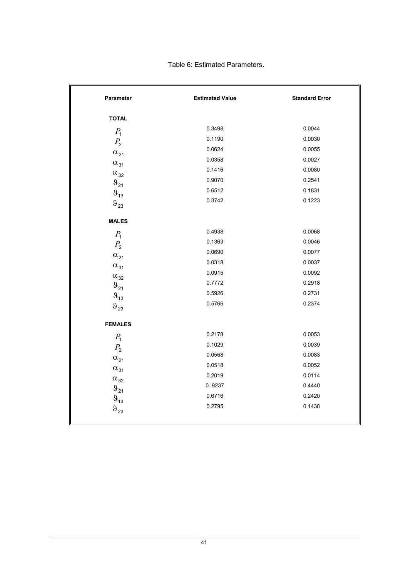| Parameter                                   | <b>Estimated Value</b> | <b>Standard Error</b> |
|---------------------------------------------|------------------------|-----------------------|
| <b>TOTAL</b>                                |                        |                       |
| $P_1$                                       | 0.3498                 | 0.0044                |
| $P_{2}$                                     | 0.1190                 | 0.0030                |
| $\alpha_{21}$                               | 0.0624                 | 0.0055                |
| $\alpha_{31}$                               | 0.0358                 | 0.0027                |
| $\alpha_{32}$                               | 0.1416                 | 0.0080                |
| $\vartheta_{21}$                            | 0.9070                 | 0.2541                |
| $\vartheta_{13}$                            | 0.6512                 | 0.1831                |
| $\vartheta_{23}$                            | 0.3742                 | 0.1223                |
| <b>MALES</b>                                |                        |                       |
| $P_{1}$                                     | 0.4938                 | 0.0068                |
| $P_{2}$                                     | 0.1363                 | 0.0046                |
|                                             | 0.0690                 | 0.0077                |
| $\alpha_{21}$                               | 0.0318                 | 0.0037                |
| $\alpha_{31}$                               | 0.0915                 | 0.0092                |
| $\alpha_{32}$<br>$\vartheta_{21}$           | 0.7772                 | 0.2918                |
|                                             | 0.5926                 | 0.2731                |
| $\vartheta_{\text{13}}$<br>$\vartheta_{23}$ | 0.5766                 | 0.2374                |
|                                             |                        |                       |
| <b>FEMALES</b>                              |                        |                       |
| $P_1$                                       | 0.2178                 | 0.0053                |
| $P_{2}$                                     | 0.1029                 | 0.0039                |
| $\alpha_{\text{21}}$                        | 0.0568                 | 0.0083                |
| $\alpha_{31}$                               | 0.0518                 | 0.0052                |
| $\alpha_{32}$                               | 0.2019                 | 0.0114                |
| $\vartheta_{21}$                            | 09237                  | 0.4440                |
| $\vartheta_{13}$                            | 0.6716                 | 0.2420                |
| $\vartheta_{23}$                            | 0.2795                 | 0.1438                |
|                                             |                        |                       |

Table 6: Estimated Parameters.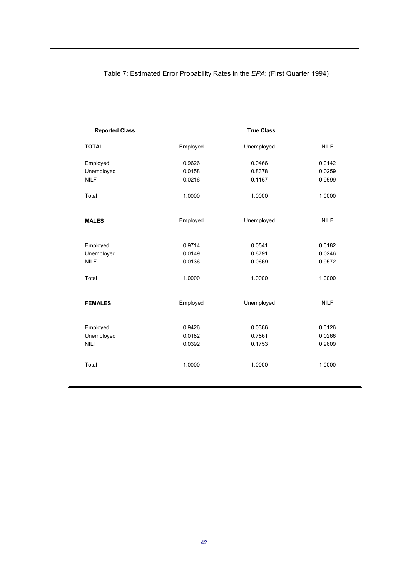| <b>Reported Class</b> |          | <b>True Class</b> |             |
|-----------------------|----------|-------------------|-------------|
| <b>TOTAL</b>          | Employed | Unemployed        | <b>NILF</b> |
| Employed              | 0.9626   | 0.0466            | 0.0142      |
| Unemployed            | 0.0158   | 0.8378            | 0.0259      |
| <b>NILF</b>           | 0.0216   | 0.1157            | 0.9599      |
| Total                 | 1.0000   | 1.0000            | 1.0000      |
| <b>MALES</b>          | Employed | Unemployed        | <b>NILF</b> |
| Employed              | 0.9714   | 0.0541            | 0.0182      |
| Unemployed            | 0.0149   | 0.8791            | 0.0246      |
| <b>NILF</b>           | 0.0136   | 0.0669            | 0.9572      |
| Total                 | 1.0000   | 1.0000            | 1.0000      |
| <b>FEMALES</b>        | Employed | Unemployed        | <b>NILF</b> |
| Employed              | 0.9426   | 0.0386            | 0.0126      |
| Unemployed            | 0.0182   | 0.7861            | 0.0266      |
| <b>NILF</b>           | 0.0392   | 0.1753            | 0.9609      |
| Total                 | 1.0000   | 1.0000            | 1.0000      |
|                       |          |                   |             |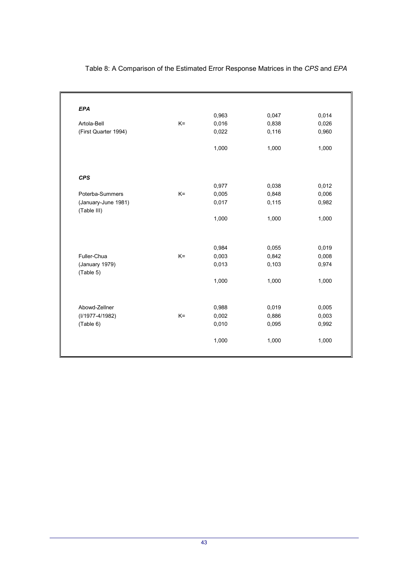| <b>EPA</b>                         |       |       |       |       |
|------------------------------------|-------|-------|-------|-------|
|                                    |       | 0,963 | 0,047 | 0,014 |
| Artola-Bell                        | $K =$ | 0,016 | 0,838 | 0,026 |
| (First Quarter 1994)               |       | 0,022 | 0,116 | 0,960 |
|                                    |       | 1,000 | 1,000 | 1,000 |
| <b>CPS</b>                         |       |       |       |       |
|                                    |       | 0,977 | 0,038 | 0,012 |
| Poterba-Summers                    | $K =$ | 0,005 | 0,848 | 0,006 |
| (January-June 1981)<br>(Table III) |       | 0,017 | 0,115 | 0,982 |
|                                    |       | 1,000 | 1,000 | 1,000 |
|                                    |       |       |       |       |
|                                    |       | 0,984 | 0,055 | 0,019 |
| Fuller-Chua                        | $K =$ | 0,003 | 0,842 | 0,008 |
| (January 1979)<br>(Table 5)        |       | 0,013 | 0,103 | 0,974 |
|                                    |       | 1,000 | 1,000 | 1,000 |
|                                    |       |       |       |       |
| Abowd-Zellner                      | $K =$ | 0,988 | 0,019 | 0,005 |
| (I/1977-4/1982)                    |       | 0,002 | 0,886 | 0,003 |
| (Table 6)                          |       | 0,010 | 0,095 | 0,992 |
|                                    |       | 1,000 | 1,000 | 1,000 |

# Table 8: A Comparison of the Estimated Error Response Matrices in the *CPS* and *EPA*